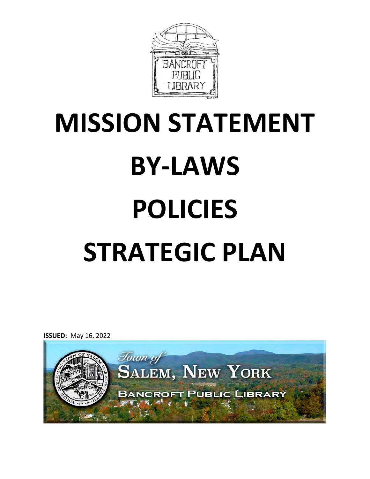

# **MISSION STATEMENT BY-LAWS POLICIES STRATEGIC PLAN**

**ISSUED:** May 16, 2022

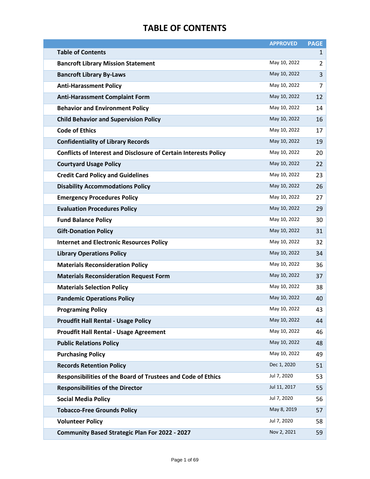# **TABLE OF CONTENTS**

|                                                                         | <b>APPROVED</b> | <b>PAGE</b>    |
|-------------------------------------------------------------------------|-----------------|----------------|
| <b>Table of Contents</b>                                                |                 | $\mathbf{1}$   |
| <b>Bancroft Library Mission Statement</b>                               | May 10, 2022    | $\overline{2}$ |
| <b>Bancroft Library By-Laws</b>                                         | May 10, 2022    | 3              |
| <b>Anti-Harassment Policy</b>                                           | May 10, 2022    | $\overline{7}$ |
| <b>Anti-Harassment Complaint Form</b>                                   | May 10, 2022    | 12             |
| <b>Behavior and Environment Policy</b>                                  | May 10, 2022    | 14             |
| <b>Child Behavior and Supervision Policy</b>                            | May 10, 2022    | 16             |
| <b>Code of Ethics</b>                                                   | May 10, 2022    | 17             |
| <b>Confidentiality of Library Records</b>                               | May 10, 2022    | 19             |
| <b>Conflicts of Interest and Disclosure of Certain Interests Policy</b> | May 10, 2022    | 20             |
| <b>Courtyard Usage Policy</b>                                           | May 10, 2022    | 22             |
| <b>Credit Card Policy and Guidelines</b>                                | May 10, 2022    | 23             |
| <b>Disability Accommodations Policy</b>                                 | May 10, 2022    | 26             |
| <b>Emergency Procedures Policy</b>                                      | May 10, 2022    | 27             |
| <b>Evaluation Procedures Policy</b>                                     | May 10, 2022    | 29             |
| <b>Fund Balance Policy</b>                                              | May 10, 2022    | 30             |
| <b>Gift-Donation Policy</b>                                             | May 10, 2022    | 31             |
| <b>Internet and Electronic Resources Policy</b>                         | May 10, 2022    | 32             |
| <b>Library Operations Policy</b>                                        | May 10, 2022    | 34             |
| <b>Materials Reconsideration Policy</b>                                 | May 10, 2022    | 36             |
| <b>Materials Reconsideration Request Form</b>                           | May 10, 2022    | 37             |
| <b>Materials Selection Policy</b>                                       | May 10, 2022    | 38             |
| <b>Pandemic Operations Policy</b>                                       | May 10, 2022    | 40             |
| <b>Programing Policy</b>                                                | May 10, 2022    | 43             |
| <b>Proudfit Hall Rental - Usage Policy</b>                              | May 10, 2022    | 44             |
| <b>Proudfit Hall Rental - Usage Agreement</b>                           | May 10, 2022    | 46             |
| <b>Public Relations Policy</b>                                          | May 10, 2022    | 48             |
| <b>Purchasing Policy</b>                                                | May 10, 2022    | 49             |
| <b>Records Retention Policy</b>                                         | Dec 1, 2020     | 51             |
| Responsibilities of the Board of Trustees and Code of Ethics            | Jul 7, 2020     | 53             |
| <b>Responsibilities of the Director</b>                                 | Jul 11, 2017    | 55             |
| <b>Social Media Policy</b>                                              | Jul 7, 2020     | 56             |
| <b>Tobacco-Free Grounds Policy</b>                                      | May 8, 2019     | 57             |
| <b>Volunteer Policy</b>                                                 | Jul 7, 2020     | 58             |
| <b>Community Based Strategic Plan For 2022 - 2027</b>                   | Nov 2, 2021     | 59             |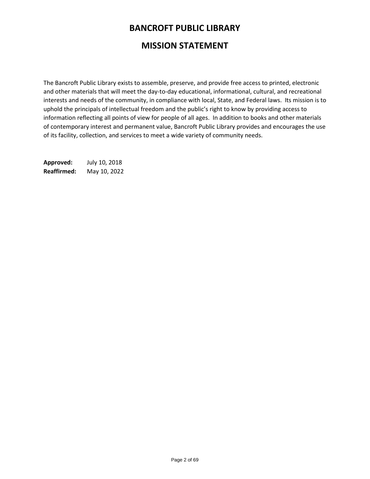# **MISSION STATEMENT**

<span id="page-2-0"></span>The Bancroft Public Library exists to assemble, preserve, and provide free access to printed, electronic and other materials that will meet the day-to-day educational, informational, cultural, and recreational interests and needs of the community, in compliance with local, State, and Federal laws. Its mission is to uphold the principals of intellectual freedom and the public's right to know by providing access to information reflecting all points of view for people of all ages. In addition to books and other materials of contemporary interest and permanent value, Bancroft Public Library provides and encourages the use of its facility, collection, and services to meet a wide variety of community needs.

**Approved:** July 10, 2018 **Reaffirmed:** May 10, 2022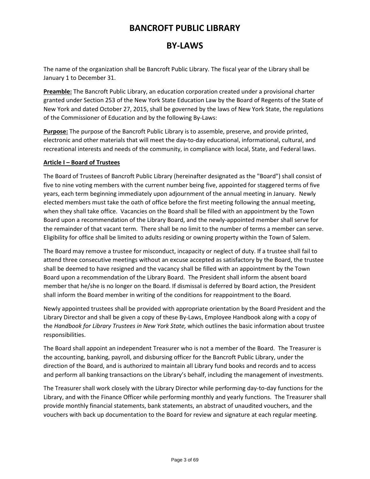# **BY-LAWS**

<span id="page-3-0"></span>The name of the organization shall be Bancroft Public Library. The fiscal year of the Library shall be January 1 to December 31.

**Preamble:** The Bancroft Public Library, an education corporation created under a provisional charter granted under Section 253 of the New York State Education Law by the Board of Regents of the State of New York and dated October 27, 2015, shall be governed by the laws of New York State, the regulations of the Commissioner of Education and by the following By-Laws:

**Purpose:** The purpose of the Bancroft Public Library is to assemble, preserve, and provide printed, electronic and other materials that will meet the day-to-day educational, informational, cultural, and recreational interests and needs of the community, in compliance with local, State, and Federal laws.

#### **Article I – Board of Trustees**

The Board of Trustees of Bancroft Public Library (hereinafter designated as the "Board") shall consist of five to nine voting members with the current number being five, appointed for staggered terms of five years, each term beginning immediately upon adjournment of the annual meeting in January. Newly elected members must take the oath of office before the first meeting following the annual meeting, when they shall take office. Vacancies on the Board shall be filled with an appointment by the Town Board upon a recommendation of the Library Board, and the newly-appointed member shall serve for the remainder of that vacant term. There shall be no limit to the number of terms a member can serve. Eligibility for office shall be limited to adults residing or owning property within the Town of Salem.

The Board may remove a trustee for misconduct, incapacity or neglect of duty. If a trustee shall fail to attend three consecutive meetings without an excuse accepted as satisfactory by the Board, the trustee shall be deemed to have resigned and the vacancy shall be filled with an appointment by the Town Board upon a recommendation of the Library Board. The President shall inform the absent board member that he/she is no longer on the Board. If dismissal is deferred by Board action, the President shall inform the Board member in writing of the conditions for reappointment to the Board.

Newly appointed trustees shall be provided with appropriate orientation by the Board President and the Library Director and shall be given a copy of these By-Laws, Employee Handbook along with a copy of the *Handbook for Library Trustees in New York State,* which outlines the basic information about trustee responsibilities.

The Board shall appoint an independent Treasurer who is not a member of the Board. The Treasurer is the accounting, banking, payroll, and disbursing officer for the Bancroft Public Library, under the direction of the Board, and is authorized to maintain all Library fund books and records and to access and perform all banking transactions on the Library's behalf, including the management of investments.

The Treasurer shall work closely with the Library Director while performing day-to-day functions for the Library, and with the Finance Officer while performing monthly and yearly functions. The Treasurer shall provide monthly financial statements, bank statements, an abstract of unaudited vouchers, and the vouchers with back up documentation to the Board for review and signature at each regular meeting.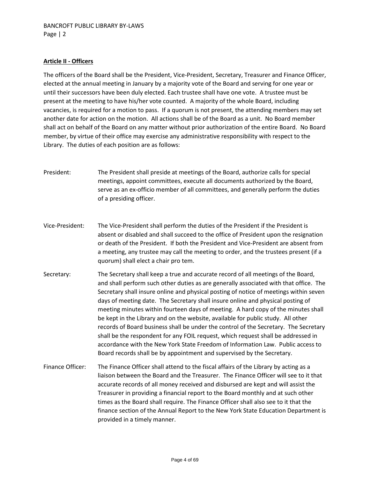#### **Article II - Officers**

The officers of the Board shall be the President, Vice-President, Secretary, Treasurer and Finance Officer, elected at the annual meeting in January by a majority vote of the Board and serving for one year or until their successors have been duly elected. Each trustee shall have one vote. A trustee must be present at the meeting to have his/her vote counted. A majority of the whole Board, including vacancies, is required for a motion to pass. If a quorum is not present, the attending members may set another date for action on the motion. All actions shall be of the Board as a unit. No Board member shall act on behalf of the Board on any matter without prior authorization of the entire Board. No Board member, by virtue of their office may exercise any administrative responsibility with respect to the Library. The duties of each position are as follows:

- President: The President shall preside at meetings of the Board, authorize calls for special meetings, appoint committees, execute all documents authorized by the Board, serve as an ex-officio member of all committees, and generally perform the duties of a presiding officer.
- Vice-President: The Vice-President shall perform the duties of the President if the President is absent or disabled and shall succeed to the office of President upon the resignation or death of the President. If both the President and Vice-President are absent from a meeting, any trustee may call the meeting to order, and the trustees present (if a quorum) shall elect a chair pro tem.
- Secretary: The Secretary shall keep a true and accurate record of all meetings of the Board, and shall perform such other duties as are generally associated with that office. The Secretary shall insure online and physical posting of notice of meetings within seven days of meeting date. The Secretary shall insure online and physical posting of meeting minutes within fourteen days of meeting. A hard copy of the minutes shall be kept in the Library and on the website, available for public study. All other records of Board business shall be under the control of the Secretary. The Secretary shall be the respondent for any FOIL request, which request shall be addressed in accordance with the New York State Freedom of Information Law. Public access to Board records shall be by appointment and supervised by the Secretary.
- Finance Officer: The Finance Officer shall attend to the fiscal affairs of the Library by acting as a liaison between the Board and the Treasurer. The Finance Officer will see to it that accurate records of all money received and disbursed are kept and will assist the Treasurer in providing a financial report to the Board monthly and at such other times as the Board shall require. The Finance Officer shall also see to it that the finance section of the Annual Report to the New York State Education Department is provided in a timely manner.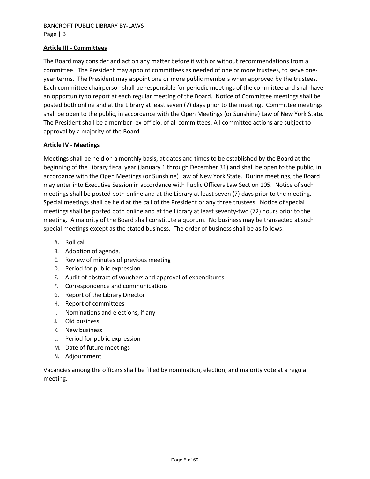#### BANCROFT PUBLIC LIBRARY BY-LAWS Page | 3

#### **Article III - Committees**

The Board may consider and act on any matter before it with or without recommendations from a committee. The President may appoint committees as needed of one or more trustees, to serve oneyear terms. The President may appoint one or more public members when approved by the trustees. Each committee chairperson shall be responsible for periodic meetings of the committee and shall have an opportunity to report at each regular meeting of the Board. Notice of Committee meetings shall be posted both online and at the Library at least seven (7) days prior to the meeting. Committee meetings shall be open to the public, in accordance with the Open Meetings (or Sunshine) Law of New York State. The President shall be a member, ex-officio, of all committees. All committee actions are subject to approval by a majority of the Board.

#### **Article IV - Meetings**

Meetings shall be held on a monthly basis, at dates and times to be established by the Board at the beginning of the Library fiscal year (January 1 through December 31) and shall be open to the public, in accordance with the Open Meetings (or Sunshine) Law of New York State. During meetings, the Board may enter into Executive Session in accordance with Public Officers Law Section 105. Notice of such meetings shall be posted both online and at the Library at least seven (7) days prior to the meeting. Special meetings shall be held at the call of the President or any three trustees. Notice of special meetings shall be posted both online and at the Library at least seventy-two (72) hours prior to the meeting. A majority of the Board shall constitute a quorum. No business may be transacted at such special meetings except as the stated business. The order of business shall be as follows:

- **A.** Roll call
- **B.** Adoption of agenda.
- **C.** Review of minutes of previous meeting
- **D.** Period for public expression
- **E.** Audit of abstract of vouchers and approval of expenditures
- **F.** Correspondence and communications
- **G.** Report of the Library Director
- **H.** Report of committees
- **I.** Nominations and elections, if any
- **J.** Old business
- **K.** New business
- **L.** Period for public expression
- **M.** Date of future meetings
- **N.** Adjournment

Vacancies among the officers shall be filled by nomination, election, and majority vote at a regular meeting.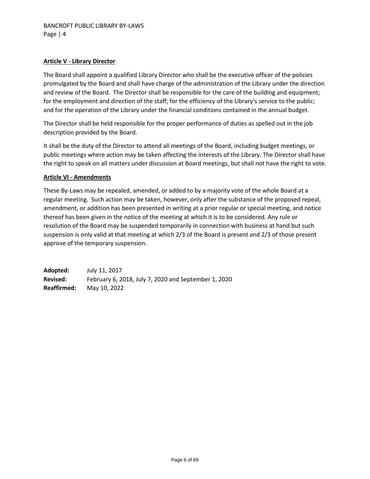#### **Article V - Library Director**

The Board shall appoint a qualified Library Director who shall be the executive officer of the policies promulgated by the Board and shall have charge of the administration of the Library under the direction and review of the Board. The Director shall be responsible for the care of the building and equipment; for the employment and direction of the staff; for the efficiency of the Library's service to the public; and for the operation of the Library under the financial conditions contained in the annual budget.

The Director shall be held responsible for the proper performance of duties as spelled out in the job description provided by the Board.

It shall be the duty of the Director to attend all meetings of the Board, including budget meetings, or public meetings where action may be taken affecting the interests of the Library. The Director shall have the right to speak on all matters under discussion at Board meetings, but shall not have the right to vote.

#### **Article VI - Amendments**

These By-Laws may be repealed, amended, or added to by a majority vote of the whole Board at a regular meeting. Such action may be taken, however, only after the substance of the proposed repeal, amendment, or addition has been presented in writing at a prior regular or special meeting, and notice thereof has been given in the notice of the meeting at which it is to be considered. Any rule or resolution of the Board may be suspended temporarily in connection with business at hand but such suspension is only valid at that meeting at which 2/3 of the Board is present and 2/3 of those present approve of the temporary suspension.

**Adopted:** July 11, 2017 **Revised:** February 6, 2018, July 7, 2020 and September 1, 2020 **Reaffirmed:** May 10, 2022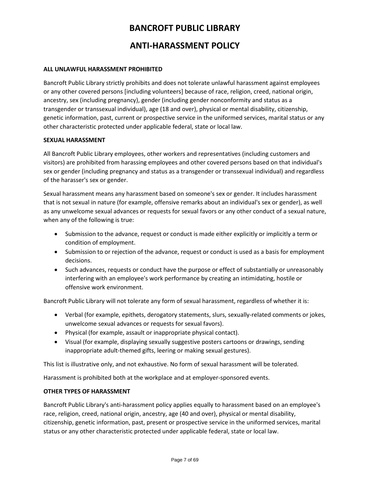# **ANTI-HARASSMENT POLICY**

#### <span id="page-7-0"></span>**ALL UNLAWFUL HARASSMENT PROHIBITED**

Bancroft Public Library strictly prohibits and does not tolerate unlawful harassment against employees or any other covered persons [including volunteers] because of race, religion, creed, national origin, ancestry, sex (including pregnancy), gender (including gender nonconformity and status as a transgender or transsexual individual), age (18 and over), physical or mental disability, citizenship, genetic information, past, current or prospective service in the uniformed services, marital status or any other characteristic protected under applicable federal, state or local law.

#### **SEXUAL HARASSMENT**

All Bancroft Public Library employees, other workers and representatives (including customers and visitors) are prohibited from harassing employees and other covered persons based on that individual's sex or gender (including pregnancy and status as a transgender or transsexual individual) and regardless of the harasser's sex or gender.

Sexual harassment means any harassment based on someone's sex or gender. It includes harassment that is not sexual in nature (for example, offensive remarks about an individual's sex or gender), as well as any unwelcome sexual advances or requests for sexual favors or any other conduct of a sexual nature, when any of the following is true:

- Submission to the advance, request or conduct is made either explicitly or implicitly a term or condition of employment.
- Submission to or rejection of the advance, request or conduct is used as a basis for employment decisions.
- Such advances, requests or conduct have the purpose or effect of substantially or unreasonably interfering with an employee's work performance by creating an intimidating, hostile or offensive work environment.

Bancroft Public Library will not tolerate any form of sexual harassment, regardless of whether it is:

- Verbal (for example, epithets, derogatory statements, slurs, sexually-related comments or jokes, unwelcome sexual advances or requests for sexual favors).
- Physical (for example, assault or inappropriate physical contact).
- Visual (for example, displaying sexually suggestive posters cartoons or drawings, sending inappropriate adult-themed gifts, leering or making sexual gestures).

This list is illustrative only, and not exhaustive. No form of sexual harassment will be tolerated.

Harassment is prohibited both at the workplace and at employer-sponsored events.

#### **OTHER TYPES OF HARASSMENT**

Bancroft Public Library's anti-harassment policy applies equally to harassment based on an employee's race, religion, creed, national origin, ancestry, age (40 and over), physical or mental disability, citizenship, genetic information, past, present or prospective service in the uniformed services, marital status or any other characteristic protected under applicable federal, state or local law.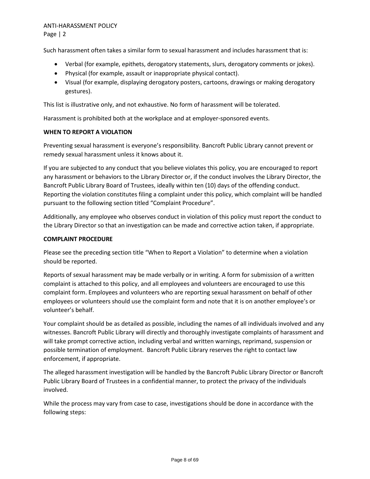#### ANTI-HARASSMENT POLICY Page | 2

Such harassment often takes a similar form to sexual harassment and includes harassment that is:

- Verbal (for example, epithets, derogatory statements, slurs, derogatory comments or jokes).
- Physical (for example, assault or inappropriate physical contact).
- Visual (for example, displaying derogatory posters, cartoons, drawings or making derogatory gestures).

This list is illustrative only, and not exhaustive. No form of harassment will be tolerated.

Harassment is prohibited both at the workplace and at employer-sponsored events.

#### **WHEN TO REPORT A VIOLATION**

Preventing sexual harassment is everyone's responsibility. Bancroft Public Library cannot prevent or remedy sexual harassment unless it knows about it.

If you are subjected to any conduct that you believe violates this policy, you are encouraged to report any harassment or behaviors to the Library Director or, if the conduct involves the Library Director, the Bancroft Public Library Board of Trustees, ideally within ten (10) days of the offending conduct. Reporting the violation constitutes filing a complaint under this policy, which complaint will be handled pursuant to the following section titled "Complaint Procedure".

Additionally, any employee who observes conduct in violation of this policy must report the conduct to the Library Director so that an investigation can be made and corrective action taken, if appropriate.

#### **COMPLAINT PROCEDURE**

Please see the preceding section title "When to Report a Violation" to determine when a violation should be reported.

Reports of sexual harassment may be made verbally or in writing. A form for submission of a written complaint is attached to this policy, and all employees and volunteers are encouraged to use this complaint form. Employees and volunteers who are reporting sexual harassment on behalf of other employees or volunteers should use the complaint form and note that it is on another employee's or volunteer's behalf.

Your complaint should be as detailed as possible, including the names of all individuals involved and any witnesses. Bancroft Public Library will directly and thoroughly investigate complaints of harassment and will take prompt corrective action, including verbal and written warnings, reprimand, suspension or possible termination of employment. Bancroft Public Library reserves the right to contact law enforcement, if appropriate.

The alleged harassment investigation will be handled by the Bancroft Public Library Director or Bancroft Public Library Board of Trustees in a confidential manner, to protect the privacy of the individuals involved.

While the process may vary from case to case, investigations should be done in accordance with the following steps: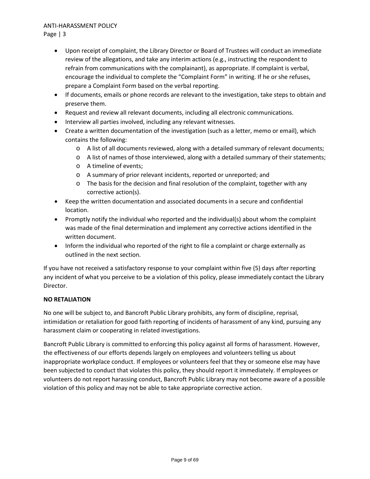#### ANTI-HARASSMENT POLICY

- Upon receipt of complaint, the Library Director or Board of Trustees will conduct an immediate review of the allegations, and take any interim actions (e.g., instructing the respondent to refrain from communications with the complainant), as appropriate. If complaint is verbal, encourage the individual to complete the "Complaint Form" in writing. If he or she refuses, prepare a Complaint Form based on the verbal reporting.
- If documents, emails or phone records are relevant to the investigation, take steps to obtain and preserve them.
- Request and review all relevant documents, including all electronic communications.
- Interview all parties involved, including any relevant witnesses.
- Create a written documentation of the investigation (such as a letter, memo or email), which contains the following:
	- $\circ$  A list of all documents reviewed, along with a detailed summary of relevant documents;
	- o A list of names of those interviewed, along with a detailed summary of their statements;
	- o A timeline of events;
	- o A summary of prior relevant incidents, reported or unreported; and
	- $\circ$  The basis for the decision and final resolution of the complaint, together with any corrective action(s).
- Keep the written documentation and associated documents in a secure and confidential location.
- Promptly notify the individual who reported and the individual(s) about whom the complaint was made of the final determination and implement any corrective actions identified in the written document.
- Inform the individual who reported of the right to file a complaint or charge externally as outlined in the next section.

If you have not received a satisfactory response to your complaint within five (5) days after reporting any incident of what you perceive to be a violation of this policy, please immediately contact the Library Director.

#### **NO RETALIATION**

No one will be subject to, and Bancroft Public Library prohibits, any form of discipline, reprisal, intimidation or retaliation for good faith reporting of incidents of harassment of any kind, pursuing any harassment claim or cooperating in related investigations.

Bancroft Public Library is committed to enforcing this policy against all forms of harassment. However, the effectiveness of our efforts depends largely on employees and volunteers telling us about inappropriate workplace conduct. If employees or volunteers feel that they or someone else may have been subjected to conduct that violates this policy, they should report it immediately. If employees or volunteers do not report harassing conduct, Bancroft Public Library may not become aware of a possible violation of this policy and may not be able to take appropriate corrective action.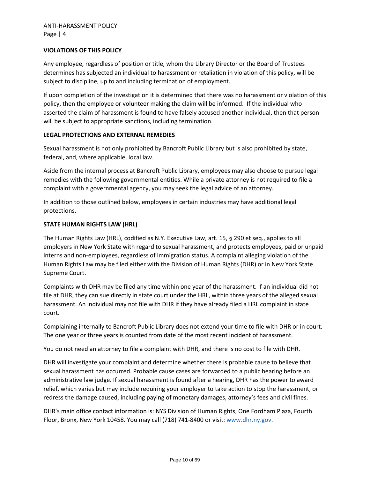#### **VIOLATIONS OF THIS POLICY**

Any employee, regardless of position or title, whom the Library Director or the Board of Trustees determines has subjected an individual to harassment or retaliation in violation of this policy, will be subject to discipline, up to and including termination of employment.

If upon completion of the investigation it is determined that there was no harassment or violation of this policy, then the employee or volunteer making the claim will be informed. If the individual who asserted the claim of harassment is found to have falsely accused another individual, then that person will be subject to appropriate sanctions, including termination.

#### **LEGAL PROTECTIONS AND EXTERNAL REMEDIES**

Sexual harassment is not only prohibited by Bancroft Public Library but is also prohibited by state, federal, and, where applicable, local law.

Aside from the internal process at Bancroft Public Library, employees may also choose to pursue legal remedies with the following governmental entities. While a private attorney is not required to file a complaint with a governmental agency, you may seek the legal advice of an attorney.

In addition to those outlined below, employees in certain industries may have additional legal protections.

#### **STATE HUMAN RIGHTS LAW (HRL)**

The Human Rights Law (HRL), codified as N.Y. Executive Law, art. 15, § 290 et seq., applies to all employers in New York State with regard to sexual harassment, and protects employees, paid or unpaid interns and non-employees, regardless of immigration status. A complaint alleging violation of the Human Rights Law may be filed either with the Division of Human Rights (DHR) or in New York State Supreme Court.

Complaints with DHR may be filed any time within one year of the harassment. If an individual did not file at DHR, they can sue directly in state court under the HRL, within three years of the alleged sexual harassment. An individual may not file with DHR if they have already filed a HRL complaint in state court.

Complaining internally to Bancroft Public Library does not extend your time to file with DHR or in court. The one year or three years is counted from date of the most recent incident of harassment.

You do not need an attorney to file a complaint with DHR, and there is no cost to file with DHR.

DHR will investigate your complaint and determine whether there is probable cause to believe that sexual harassment has occurred. Probable cause cases are forwarded to a public hearing before an administrative law judge. If sexual harassment is found after a hearing, DHR has the power to award relief, which varies but may include requiring your employer to take action to stop the harassment, or redress the damage caused, including paying of monetary damages, attorney's fees and civil fines.

DHR's main office contact information is: NYS Division of Human Rights, One Fordham Plaza, Fourth Floor, Bronx, New York 10458. You may call (718) 741-8400 or visit: www.dhr.ny.gov.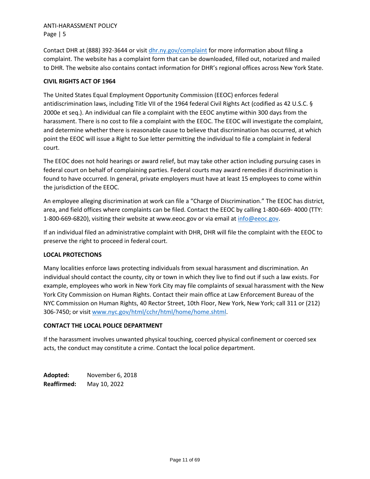#### ANTI-HARASSMENT POLICY Page | 5

Contact DHR at (888) 392-3644 or visit dhr.ny.gov/complaint for more information about filing a complaint. The website has a complaint form that can be downloaded, filled out, notarized and mailed to DHR. The website also contains contact information for DHR's regional offices across New York State.

#### **CIVIL RIGHTS ACT OF 1964**

The United States Equal Employment Opportunity Commission (EEOC) enforces federal antidiscrimination laws, including Title VII of the 1964 federal Civil Rights Act (codified as 42 U.S.C. § 2000e et seq.). An individual can file a complaint with the EEOC anytime within 300 days from the harassment. There is no cost to file a complaint with the EEOC. The EEOC will investigate the complaint, and determine whether there is reasonable cause to believe that discrimination has occurred, at which point the EEOC will issue a Right to Sue letter permitting the individual to file a complaint in federal court.

The EEOC does not hold hearings or award relief, but may take other action including pursuing cases in federal court on behalf of complaining parties. Federal courts may award remedies if discrimination is found to have occurred. In general, private employers must have at least 15 employees to come within the jurisdiction of the EEOC.

An employee alleging discrimination at work can file a "Charge of Discrimination." The EEOC has district, area, and field offices where complaints can be filed. Contact the EEOC by calling 1-800-669- 4000 (TTY: 1-800-669-6820), visiting their website at www.eeoc.gov or via email at info@eeoc.gov.

If an individual filed an administrative complaint with DHR, DHR will file the complaint with the EEOC to preserve the right to proceed in federal court.

#### **LOCAL PROTECTIONS**

Many localities enforce laws protecting individuals from sexual harassment and discrimination. An individual should contact the county, city or town in which they live to find out if such a law exists. For example, employees who work in New York City may file complaints of sexual harassment with the New York City Commission on Human Rights. Contact their main office at Law Enforcement Bureau of the NYC Commission on Human Rights, 40 Rector Street, 10th Floor, New York, New York; call 311 or (212) 306-7450; or visit www.nyc.gov/html/cchr/html/home/home.shtml.

#### **CONTACT THE LOCAL POLICE DEPARTMENT**

If the harassment involves unwanted physical touching, coerced physical confinement or coerced sex acts, the conduct may constitute a crime. Contact the local police department.

**Adopted:** November 6, 2018 **Reaffirmed:** May 10, 2022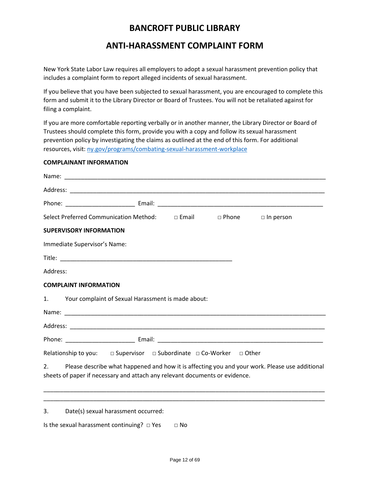# **ANTI-HARASSMENT COMPLAINT FORM**

<span id="page-12-0"></span>New York State Labor Law requires all employers to adopt a sexual harassment prevention policy that includes a complaint form to report alleged incidents of sexual harassment.

If you believe that you have been subjected to sexual harassment, you are encouraged to complete this form and submit it to the Library Director or Board of Trustees. You will not be retaliated against for filing a complaint.

If you are more comfortable reporting verbally or in another manner, the Library Director or Board of Trustees should complete this form, provide you with a copy and follow its sexual harassment prevention policy by investigating the claims as outlined at the end of this form. For additional resources, visit: ny.gov/programs/combating-sexual-harassment-workplace

#### **COMPLAINANT INFORMATION**

|                                | Select Preferred Communication Method: $\Box$ Email $\Box$ Phone $\Box$ In person                   |  |                                                                                                |
|--------------------------------|-----------------------------------------------------------------------------------------------------|--|------------------------------------------------------------------------------------------------|
| <b>SUPERVISORY INFORMATION</b> |                                                                                                     |  |                                                                                                |
| Immediate Supervisor's Name:   |                                                                                                     |  |                                                                                                |
|                                |                                                                                                     |  |                                                                                                |
| Address:                       |                                                                                                     |  |                                                                                                |
| <b>COMPLAINT INFORMATION</b>   |                                                                                                     |  |                                                                                                |
| 1.                             | Your complaint of Sexual Harassment is made about:                                                  |  |                                                                                                |
|                                |                                                                                                     |  |                                                                                                |
|                                |                                                                                                     |  |                                                                                                |
|                                |                                                                                                     |  |                                                                                                |
|                                | Relationship to you: $\square$ Supervisor $\square$ Subordinate $\square$ Co-Worker $\square$ Other |  |                                                                                                |
| 2.                             | sheets of paper if necessary and attach any relevant documents or evidence.                         |  | Please describe what happened and how it is affecting you and your work. Please use additional |
| 3.                             | Date(s) sexual harassment occurred:                                                                 |  |                                                                                                |

Is the sexual harassment continuing? □ Yes □ No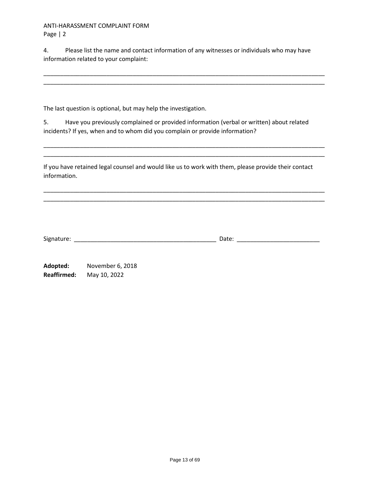4. Please list the name and contact information of any witnesses or individuals who may have information related to your complaint:

\_\_\_\_\_\_\_\_\_\_\_\_\_\_\_\_\_\_\_\_\_\_\_\_\_\_\_\_\_\_\_\_\_\_\_\_\_\_\_\_\_\_\_\_\_\_\_\_\_\_\_\_\_\_\_\_\_\_\_\_\_\_\_\_\_\_\_\_\_\_\_\_\_\_\_\_\_\_\_\_\_\_\_\_\_ \_\_\_\_\_\_\_\_\_\_\_\_\_\_\_\_\_\_\_\_\_\_\_\_\_\_\_\_\_\_\_\_\_\_\_\_\_\_\_\_\_\_\_\_\_\_\_\_\_\_\_\_\_\_\_\_\_\_\_\_\_\_\_\_\_\_\_\_\_\_\_\_\_\_\_\_\_\_\_\_\_\_\_\_\_

The last question is optional, but may help the investigation.

5. Have you previously complained or provided information (verbal or written) about related incidents? If yes, when and to whom did you complain or provide information?

If you have retained legal counsel and would like us to work with them, please provide their contact information.

\_\_\_\_\_\_\_\_\_\_\_\_\_\_\_\_\_\_\_\_\_\_\_\_\_\_\_\_\_\_\_\_\_\_\_\_\_\_\_\_\_\_\_\_\_\_\_\_\_\_\_\_\_\_\_\_\_\_\_\_\_\_\_\_\_\_\_\_\_\_\_\_\_\_\_\_\_\_\_\_\_\_\_\_\_ \_\_\_\_\_\_\_\_\_\_\_\_\_\_\_\_\_\_\_\_\_\_\_\_\_\_\_\_\_\_\_\_\_\_\_\_\_\_\_\_\_\_\_\_\_\_\_\_\_\_\_\_\_\_\_\_\_\_\_\_\_\_\_\_\_\_\_\_\_\_\_\_\_\_\_\_\_\_\_\_\_\_\_\_\_

\_\_\_\_\_\_\_\_\_\_\_\_\_\_\_\_\_\_\_\_\_\_\_\_\_\_\_\_\_\_\_\_\_\_\_\_\_\_\_\_\_\_\_\_\_\_\_\_\_\_\_\_\_\_\_\_\_\_\_\_\_\_\_\_\_\_\_\_\_\_\_\_\_\_\_\_\_\_\_\_\_\_\_\_\_ \_\_\_\_\_\_\_\_\_\_\_\_\_\_\_\_\_\_\_\_\_\_\_\_\_\_\_\_\_\_\_\_\_\_\_\_\_\_\_\_\_\_\_\_\_\_\_\_\_\_\_\_\_\_\_\_\_\_\_\_\_\_\_\_\_\_\_\_\_\_\_\_\_\_\_\_\_\_\_\_\_\_\_\_\_

Signature: \_\_\_\_\_\_\_\_\_\_\_\_\_\_\_\_\_\_\_\_\_\_\_\_\_\_\_\_\_\_\_\_\_\_\_\_\_\_\_\_\_\_\_ Date: \_\_\_\_\_\_\_\_\_\_\_\_\_\_\_\_\_\_\_\_\_\_\_\_\_

**Adopted:** November 6, 2018 **Reaffirmed:** May 10, 2022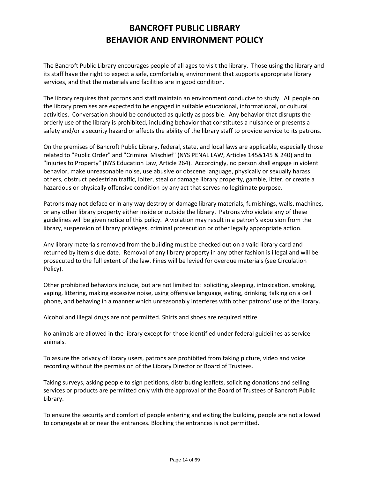# **BANCROFT PUBLIC LIBRARY BEHAVIOR AND ENVIRONMENT POLICY**

<span id="page-14-0"></span>The Bancroft Public Library encourages people of all ages to visit the library. Those using the library and its staff have the right to expect a safe, comfortable, environment that supports appropriate library services, and that the materials and facilities are in good condition.

The library requires that patrons and staff maintain an environment conducive to study. All people on the library premises are expected to be engaged in suitable educational, informational, or cultural activities. Conversation should be conducted as quietly as possible. Any behavior that disrupts the orderly use of the library is prohibited, including behavior that constitutes a nuisance or presents a safety and/or a security hazard or affects the ability of the library staff to provide service to its patrons.

On the premises of Bancroft Public Library, federal, state, and local laws are applicable, especially those related to "Public Order" and "Criminal Mischief" (NYS PENAL LAW, Articles 145&145 & 240) and to "Injuries to Property" (NYS Education Law, Article 264). Accordingly, no person shall engage in violent behavior, make unreasonable noise, use abusive or obscene language, physically or sexually harass others, obstruct pedestrian traffic, loiter, steal or damage library property, gamble, litter, or create a hazardous or physically offensive condition by any act that serves no legitimate purpose.

Patrons may not deface or in any way destroy or damage library materials, furnishings, walls, machines, or any other library property either inside or outside the library. Patrons who violate any of these guidelines will be given notice of this policy. A violation may result in a patron's expulsion from the library, suspension of library privileges, criminal prosecution or other legally appropriate action.

Any library materials removed from the building must be checked out on a valid library card and returned by item's due date. Removal of any library property in any other fashion is illegal and will be prosecuted to the full extent of the law. Fines will be levied for overdue materials {see Circulation Policy).

Other prohibited behaviors include, but are not limited to: soliciting, sleeping, intoxication, smoking, vaping, littering, making excessive noise, using offensive language, eating, drinking, talking on a cell phone, and behaving in a manner which unreasonably interferes with other patrons' use of the library.

Alcohol and illegal drugs are not permitted. Shirts and shoes are required attire.

No animals are allowed in the library except for those identified under federal guidelines as service animals.

To assure the privacy of library users, patrons are prohibited from taking picture, video and voice recording without the permission of the Library Director or Board of Trustees.

Taking surveys, asking people to sign petitions, distributing leaflets, soliciting donations and selling services or products are permitted only with the approval of the Board of Trustees of Bancroft Public Library.

To ensure the security and comfort of people entering and exiting the building, people are not allowed to congregate at or near the entrances. Blocking the entrances is not permitted.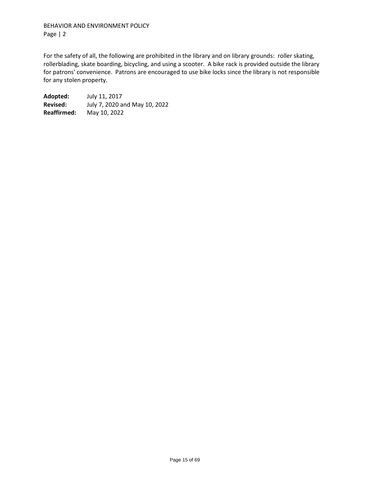For the safety of all, the following are prohibited in the library and on library grounds: roller skating, rollerblading, skate boarding, bicycling, and using a scooter. A bike rack is provided outside the library for patrons' convenience. Patrons are encouraged to use bike locks since the library is not responsible for any stolen property.

**Adopted:** July 11, 2017 **Revised:** July 7, 2020 and May 10, 2022 **Reaffirmed:** May 10, 2022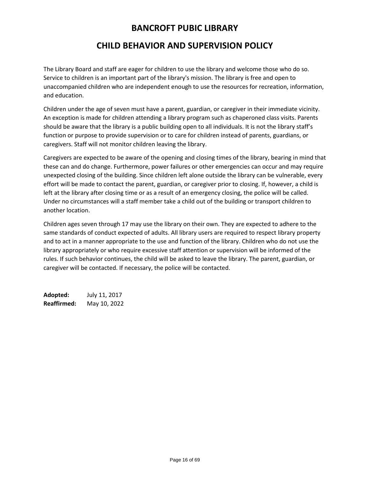# **CHILD BEHAVIOR AND SUPERVISION POLICY**

<span id="page-16-0"></span>The Library Board and staff are eager for children to use the library and welcome those who do so. Service to children is an important part of the library's mission. The library is free and open to unaccompanied children who are independent enough to use the resources for recreation, information, and education.

Children under the age of seven must have a parent, guardian, or caregiver in their immediate vicinity. An exception is made for children attending a library program such as chaperoned class visits. Parents should be aware that the library is a public building open to all individuals. It is not the library staff's function or purpose to provide supervision or to care for children instead of parents, guardians, or caregivers. Staff will not monitor children leaving the library.

Caregivers are expected to be aware of the opening and closing times of the library, bearing in mind that these can and do change. Furthermore, power failures or other emergencies can occur and may require unexpected closing of the building. Since children left alone outside the library can be vulnerable, every effort will be made to contact the parent, guardian, or caregiver prior to closing. If, however, a child is left at the library after closing time or as a result of an emergency closing, the police will be called. Under no circumstances will a staff member take a child out of the building or transport children to another location.

Children ages seven through 17 may use the library on their own. They are expected to adhere to the same standards of conduct expected of adults. All library users are required to respect library property and to act in a manner appropriate to the use and function of the library. Children who do not use the library appropriately or who require excessive staff attention or supervision will be informed of the rules. If such behavior continues, the child will be asked to leave the library. The parent, guardian, or caregiver will be contacted. If necessary, the police will be contacted.

**Adopted:** July 11, 2017 **Reaffirmed:** May 10, 2022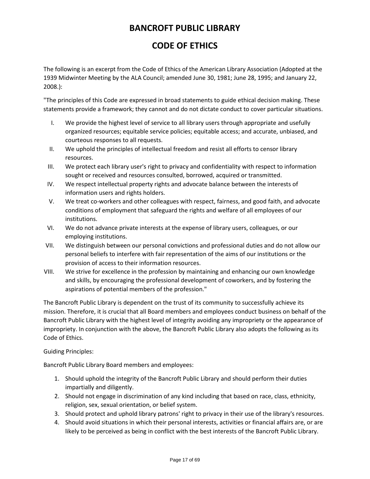# **CODE OF ETHICS**

<span id="page-17-0"></span>The following is an excerpt from the Code of Ethics of the American Library Association (Adopted at the 1939 Midwinter Meeting by the ALA Council; amended June 30, 1981; June 28, 1995; and January 22, 2008.):

"The principles of this Code are expressed in broad statements to guide ethical decision making. These statements provide a framework; they cannot and do not dictate conduct to cover particular situations.

- I. We provide the highest level of service to all library users through appropriate and usefully organized resources; equitable service policies; equitable access; and accurate, unbiased, and courteous responses to all requests.
- II. We uphold the principles of intellectual freedom and resist all efforts to censor library resources.
- III. We protect each library user's right to privacy and confidentiality with respect to information sought or received and resources consulted, borrowed, acquired or transmitted.
- IV. We respect intellectual property rights and advocate balance between the interests of information users and rights holders.
- V. We treat co-workers and other colleagues with respect, fairness, and good faith, and advocate conditions of employment that safeguard the rights and welfare of all employees of our institutions.
- VI. We do not advance private interests at the expense of library users, colleagues, or our employing institutions.
- VII. We distinguish between our personal convictions and professional duties and do not allow our personal beliefs to interfere with fair representation of the aims of our institutions or the provision of access to their information resources.
- VIII. We strive for excellence in the profession by maintaining and enhancing our own knowledge and skills, by encouraging the professional development of coworkers, and by fostering the aspirations of potential members of the profession."

The Bancroft Public Library is dependent on the trust of its community to successfully achieve its mission. Therefore, it is crucial that all Board members and employees conduct business on behalf of the Bancroft Public Library with the highest level of integrity avoiding any impropriety or the appearance of impropriety. In conjunction with the above, the Bancroft Public Library also adopts the following as its Code of Ethics.

#### Guiding Principles:

Bancroft Public Library Board members and employees:

- 1. Should uphold the integrity of the Bancroft Public Library and should perform their duties impartially and diligently.
- 2. Should not engage in discrimination of any kind including that based on race, class, ethnicity, religion, sex, sexual orientation, or belief system.
- 3. Should protect and uphold library patrons' right to privacy in their use of the library's resources.
- 4. Should avoid situations in which their personal interests, activities or financial affairs are, or are likely to be perceived as being in conflict with the best interests of the Bancroft Public Library.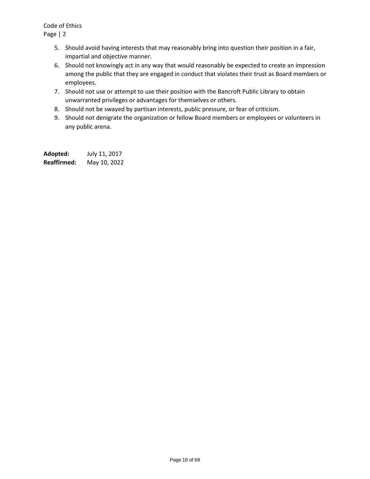Code of Ethics Page | 2

- 5. Should avoid having interests that may reasonably bring into question their position in a fair, impartial and objective manner.
- 6. Should not knowingly act in any way that would reasonably be expected to create an impression among the public that they are engaged in conduct that violates their trust as Board members or employees.
- 7. Should not use or attempt to use their position with the Bancroft Public Library to obtain unwarranted privileges or advantages for themselves or others.
- 8. Should not be swayed by partisan interests, public pressure, or fear of criticism.
- 9. Should not denigrate the organization or fellow Board members or employees or volunteers in any public arena.

**Adopted:** July 11, 2017 **Reaffirmed:** May 10, 2022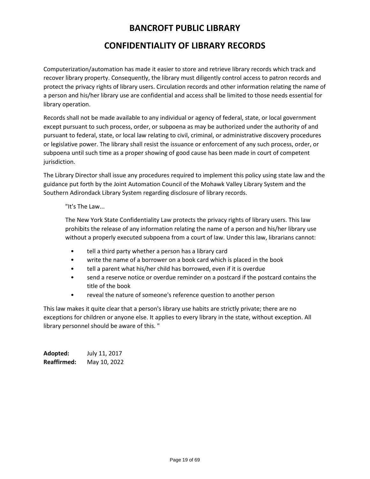# **CONFIDENTIALITY OF LIBRARY RECORDS**

<span id="page-19-0"></span>Computerization/automation has made it easier to store and retrieve library records which track and recover library property. Consequently, the library must diligently control access to patron records and protect the privacy rights of library users. Circulation records and other information relating the name of a person and his/her library use are confidential and access shall be limited to those needs essential for library operation.

Records shall not be made available to any individual or agency of federal, state, or local government except pursuant to such process, order, or subpoena as may be authorized under the authority of and pursuant to federal, state, or local law relating to civil, criminal, or administrative discovery procedures or legislative power. The library shall resist the issuance or enforcement of any such process, order, or subpoena until such time as a proper showing of good cause has been made in court of competent jurisdiction.

The Library Director shall issue any procedures required to implement this policy using state law and the guidance put forth by the Joint Automation Council of the Mohawk Valley Library System and the Southern Adirondack Library System regarding disclosure of library records.

#### "It's The Law...

The New York State Confidentiality Law protects the privacy rights of library users. This law prohibits the release of any information relating the name of a person and his/her library use without a properly executed subpoena from a court of law. Under this law, librarians cannot:

- tell a third party whether a person has a library card
- write the name of a borrower on a book card which is placed in the book
- tell a parent what his/her child has borrowed, even if it is overdue
- send a reserve notice or overdue reminder on a postcard if the postcard contains the title of the book
- reveal the nature of someone's reference question to another person

This law makes it quite clear that a person's library use habits are strictly private; there are no exceptions for children or anyone else. It applies to every library in the state, without exception. All library personnel should be aware of this. "

**Adopted:** July 11, 2017 **Reaffirmed:** May 10, 2022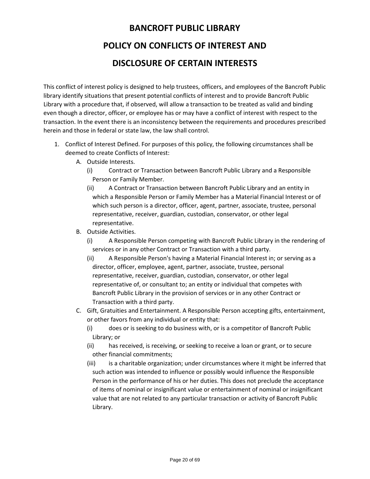# **BANCROFT PUBLIC LIBRARY POLICY ON CONFLICTS OF INTEREST AND DISCLOSURE OF CERTAIN INTERESTS**

<span id="page-20-0"></span>This conflict of interest policy is designed to help trustees, officers, and employees of the Bancroft Public library identify situations that present potential conflicts of interest and to provide Bancroft Public Library with a procedure that, if observed, will allow a transaction to be treated as valid and binding even though a director, officer, or employee has or may have a conflict of interest with respect to the transaction. In the event there is an inconsistency between the requirements and procedures prescribed herein and those in federal or state law, the law shall control.

- 1. Conflict of Interest Defined. For purposes of this policy, the following circumstances shall be deemed to create Conflicts of Interest:
	- A. Outside Interests.
		- (i) Contract or Transaction between Bancroft Public Library and a Responsible Person or Family Member.
		- (ii) A Contract or Transaction between Bancroft Public Library and an entity in which a Responsible Person or Family Member has a Material Financial Interest or of which such person is a director, officer, agent, partner, associate, trustee, personal representative, receiver, guardian, custodian, conservator, or other legal representative.
	- B. Outside Activities.
		- (i) A Responsible Person competing with Bancroft Public Library in the rendering of services or in any other Contract or Transaction with a third party.
		- (ii) A Responsible Person's having a Material Financial Interest in; or serving as a director, officer, employee, agent, partner, associate, trustee, personal representative, receiver, guardian, custodian, conservator, or other legal representative of, or consultant to; an entity or individual that competes with Bancroft Public Library in the provision of services or in any other Contract or Transaction with a third party.
	- C. Gift, Gratuities and Entertainment. A Responsible Person accepting gifts, entertainment, or other favors from any individual or entity that:
		- (i) does or is seeking to do business with, or is a competitor of Bancroft Public Library; or
		- (ii) has received, is receiving, or seeking to receive a loan or grant, or to secure other financial commitments;
		- (iii) is a charitable organization; under circumstances where it might be inferred that such action was intended to influence or possibly would influence the Responsible Person in the performance of his or her duties. This does not preclude the acceptance of items of nominal or insignificant value or entertainment of nominal or insignificant value that are not related to any particular transaction or activity of Bancroft Public Library.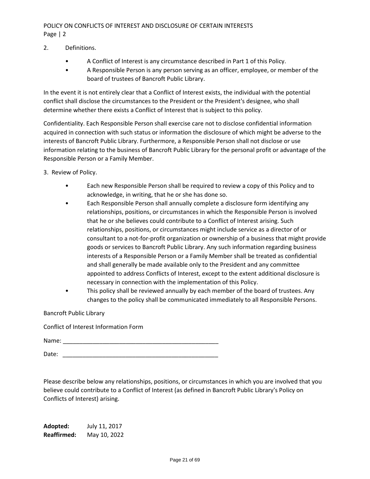#### POLICY ON CONFLICTS OF INTEREST AND DISCLOSURE OF CERTAIN INTERESTS Page | 2

- 2. Definitions.
	- A Conflict of Interest is any circumstance described in Part 1 of this Policy.
	- A Responsible Person is any person serving as an officer, employee, or member of the board of trustees of Bancroft Public Library.

In the event it is not entirely clear that a Conflict of Interest exists, the individual with the potential conflict shall disclose the circumstances to the President or the President's designee, who shall determine whether there exists a Conflict of Interest that is subject to this policy.

Confidentiality. Each Responsible Person shall exercise care not to disclose confidential information acquired in connection with such status or information the disclosure of which might be adverse to the interests of Bancroft Public Library. Furthermore, a Responsible Person shall not disclose or use information relating to the business of Bancroft Public Library for the personal profit or advantage of the Responsible Person or a Family Member.

- 3. Review of Policy.
	- Each new Responsible Person shall be required to review a copy of this Policy and to acknowledge, in writing, that he or she has done so.
	- Each Responsible Person shall annually complete a disclosure form identifying any relationships, positions, or circumstances in which the Responsible Person is involved that he or she believes could contribute to a Conflict of Interest arising. Such relationships, positions, or circumstances might include service as a director of or consultant to a not-for-profit organization or ownership of a business that might provide goods or services to Bancroft Public Library. Any such information regarding business interests of a Responsible Person or a Family Member shall be treated as confidential and shall generally be made available only to the President and any committee appointed to address Conflicts of Interest, except to the extent additional disclosure is necessary in connection with the implementation of this Policy.
	- This policy shall be reviewed annually by each member of the board of trustees. Any changes to the policy shall be communicated immediately to all Responsible Persons.

Bancroft Public Library

| Conflict of Interest Information Form |  |
|---------------------------------------|--|
|                                       |  |

Name:  $\blacksquare$ 

Date: \_\_\_\_\_\_\_\_\_\_\_\_\_\_\_\_\_\_\_\_\_\_\_\_\_\_\_\_\_\_\_\_\_\_\_\_\_\_\_\_\_\_\_\_\_\_\_

Please describe below any relationships, positions, or circumstances in which you are involved that you believe could contribute to a Conflict of Interest (as defined in Bancroft Public Library's Policy on Conflicts of Interest) arising.

**Adopted:** July 11, 2017 **Reaffirmed:** May 10, 2022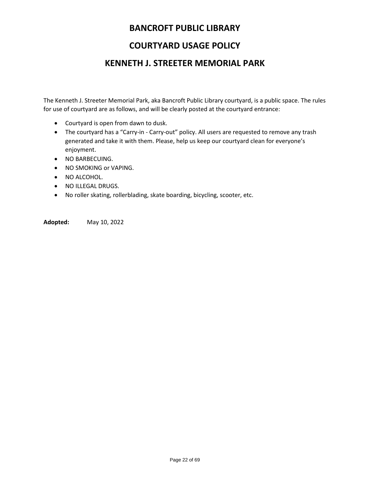# **COURTYARD USAGE POLICY**

# **KENNETH J. STREETER MEMORIAL PARK**

<span id="page-22-0"></span>The Kenneth J. Streeter Memorial Park, aka Bancroft Public Library courtyard, is a public space. The rules for use of courtyard are as follows, and will be clearly posted at the courtyard entrance:

- Courtyard is open from dawn to dusk.
- The courtyard has a "Carry-in Carry-out" policy. All users are requested to remove any trash generated and take it with them. Please, help us keep our courtyard clean for everyone's enjoyment.
- NO BARBECUING.
- NO SMOKING or VAPING.
- NO ALCOHOL.
- NO ILLEGAL DRUGS.
- No roller skating, rollerblading, skate boarding, bicycling, scooter, etc.

**Adopted:** May 10, 2022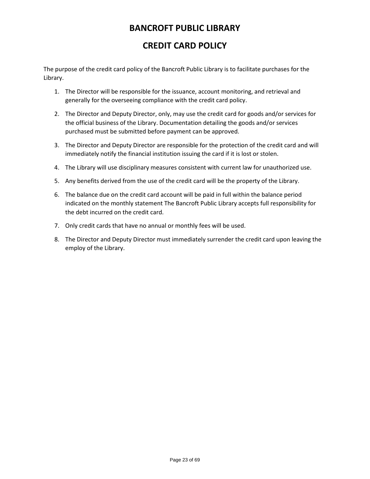# **CREDIT CARD POLICY**

<span id="page-23-0"></span>The purpose of the credit card policy of the Bancroft Public Library is to facilitate purchases for the Library.

- 1. The Director will be responsible for the issuance, account monitoring, and retrieval and generally for the overseeing compliance with the credit card policy.
- 2. The Director and Deputy Director, only, may use the credit card for goods and/or services for the official business of the Library. Documentation detailing the goods and/or services purchased must be submitted before payment can be approved.
- 3. The Director and Deputy Director are responsible for the protection of the credit card and will immediately notify the financial institution issuing the card if it is lost or stolen.
- 4. The Library will use disciplinary measures consistent with current law for unauthorized use.
- 5. Any benefits derived from the use of the credit card will be the property of the Library.
- 6. The balance due on the credit card account will be paid in full within the balance period indicated on the monthly statement The Bancroft Public Library accepts full responsibility for the debt incurred on the credit card.
- 7. Only credit cards that have no annual or monthly fees will be used.
- 8. The Director and Deputy Director must immediately surrender the credit card upon leaving the employ of the Library.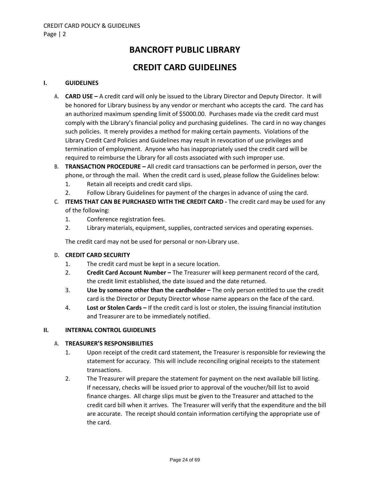# **CREDIT CARD GUIDELINES**

#### **I. GUIDELINES**

- **A. CARD USE –** A credit card will only be issued to the Library Director and Deputy Director. It will be honored for Library business by any vendor or merchant who accepts the card. The card has an authorized maximum spending limit of \$5000.00. Purchases made via the credit card must comply with the Library's financial policy and purchasing guidelines. The card in no way changes such policies. It merely provides a method for making certain payments. Violations of the Library Credit Card Policies and Guidelines may result in revocation of use privileges and termination of employment. Anyone who has inappropriately used the credit card will be required to reimburse the Library for all costs associated with such improper use.
- **B. TRANSACTION PROCEDURE –** All credit card transactions can be performed in person, over the phone, or through the mail. When the credit card is used, please follow the Guidelines below:
	- 1. Retain all receipts and credit card slips.
	- 2. Follow Library Guidelines for payment of the charges in advance of using the card.
- **C. ITEMS THAT CAN BE PURCHASED WITH THE CREDIT CARD** The credit card may be used for any of the following:
	- 1. Conference registration fees.
	- 2. Library materials, equipment, supplies, contracted services and operating expenses.

The credit card may not be used for personal or non-Library use.

#### **D. CREDIT CARD SECURITY**

- 1. The credit card must be kept in a secure location.
- 2. **Credit Card Account Number –** The Treasurer will keep permanent record of the card, the credit limit established, the date issued and the date returned.
- 3. **Use by someone other than the cardholder –** The only person entitled to use the credit card is the Director or Deputy Director whose name appears on the face of the card.
- 4. **Lost or Stolen Cards –** If the credit card is lost or stolen, the issuing financial institution and Treasurer are to be immediately notified.

#### **II. INTERNAL CONTROL GUIDELINES**

#### **A. TREASURER'S RESPONSIBILITIES**

- 1. Upon receipt of the credit card statement, the Treasurer is responsible for reviewing the statement for accuracy. This will include reconciling original receipts to the statement transactions.
- 2. The Treasurer will prepare the statement for payment on the next available bill listing. If necessary, checks will be issued prior to approval of the voucher/bill list to avoid finance charges. All charge slips must be given to the Treasurer and attached to the credit card bill when it arrives. The Treasurer will verify that the expenditure and the bill are accurate. The receipt should contain information certifying the appropriate use of the card.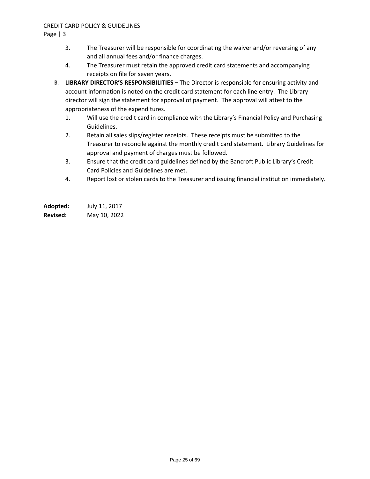#### CREDIT CARD POLICY & GUIDELINES

Page | 3

- 3. The Treasurer will be responsible for coordinating the waiver and/or reversing of any and all annual fees and/or finance charges.
- 4. The Treasurer must retain the approved credit card statements and accompanying receipts on file for seven years.
- **B. LIBRARY DIRECTOR'S RESPONSIBILITIES** The Director is responsible for ensuring activity and account information is noted on the credit card statement for each line entry. The Library director will sign the statement for approval of payment. The approval will attest to the appropriateness of the expenditures.
	- 1. Will use the credit card in compliance with the Library's Financial Policy and Purchasing Guidelines.
	- 2. Retain all sales slips/register receipts. These receipts must be submitted to the Treasurer to reconcile against the monthly credit card statement. Library Guidelines for approval and payment of charges must be followed.
	- 3. Ensure that the credit card guidelines defined by the Bancroft Public Library's Credit Card Policies and Guidelines are met.
	- 4. Report lost or stolen cards to the Treasurer and issuing financial institution immediately.

**Adopted:** July 11, 2017 **Revised:** May 10, 2022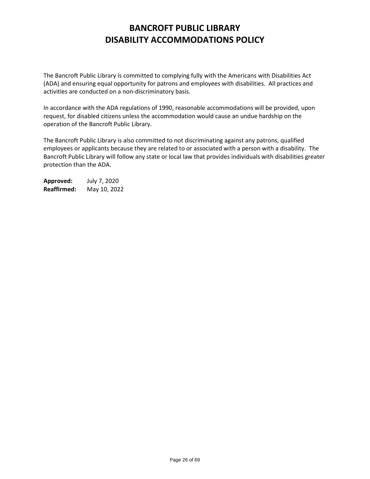# **BANCROFT PUBLIC LIBRARY DISABILITY ACCOMMODATIONS POLICY**

<span id="page-26-0"></span>The Bancroft Public Library is committed to complying fully with the Americans with Disabilities Act (ADA) and ensuring equal opportunity for patrons and employees with disabilities. All practices and activities are conducted on a non-discriminatory basis.

In accordance with the ADA regulations of 1990, reasonable accommodations will be provided, upon request, for disabled citizens unless the accommodation would cause an undue hardship on the operation of the Bancroft Public Library.

The Bancroft Public Library is also committed to not discriminating against any patrons, qualified employees or applicants because they are related to or associated with a person with a disability. The Bancroft Public Library will follow any state or local law that provides individuals with disabilities greater protection than the ADA.

**Approved:** July 7, 2020 **Reaffirmed:** May 10, 2022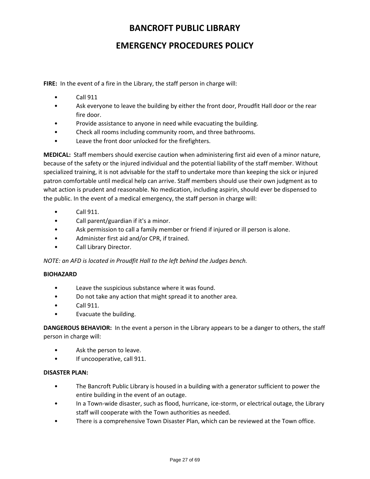# **EMERGENCY PROCEDURES POLICY**

<span id="page-27-0"></span>**FIRE:** In the event of a fire in the Library, the staff person in charge will:

- Call 911
- Ask everyone to leave the building by either the front door, Proudfit Hall door or the rear fire door.
- Provide assistance to anyone in need while evacuating the building.
- Check all rooms including community room, and three bathrooms.
- Leave the front door unlocked for the firefighters.

**MEDICAL:** Staff members should exercise caution when administering first aid even of a minor nature, because of the safety or the injured individual and the potential liability of the staff member. Without specialized training, it is not advisable for the staff to undertake more than keeping the sick or injured patron comfortable until medical help can arrive. Staff members should use their own judgment as to what action is prudent and reasonable. No medication, including aspirin, should ever be dispensed to the public. In the event of a medical emergency, the staff person in charge will:

- Call 911.
- Call parent/guardian if it's a minor.
- Ask permission to call a family member or friend if injured or ill person is alone.
- Administer first aid and/or CPR, if trained.
- Call Library Director.

*NOTE: an AFD is located in Proudfit Hall to the left behind the Judges bench.*

#### **BIOHAZARD**

- Leave the suspicious substance where it was found.
- Do not take any action that might spread it to another area.
- Call 911.
- Evacuate the building.

**DANGEROUS BEHAVIOR:** In the event a person in the Library appears to be a danger to others, the staff person in charge will:

- Ask the person to leave.
- If uncooperative, call 911.

#### **DISASTER PLAN:**

- The Bancroft Public Library is housed in a building with a generator sufficient to power the entire building in the event of an outage.
- In a Town-wide disaster, such as flood, hurricane, ice-storm, or electrical outage, the Library staff will cooperate with the Town authorities as needed.
- There is a comprehensive Town Disaster Plan, which can be reviewed at the Town office.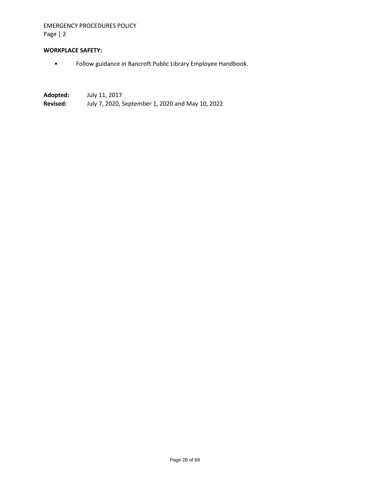#### EMERGENCY PROCEDURES POLICY Page | 2

#### **WORKPLACE SAFETY:**

• Follow guidance in Bancroft Public Library Employee Handbook.

**Adopted:** July 11, 2017 **Revised:** July 7, 2020, September 1, 2020 and May 10, 2022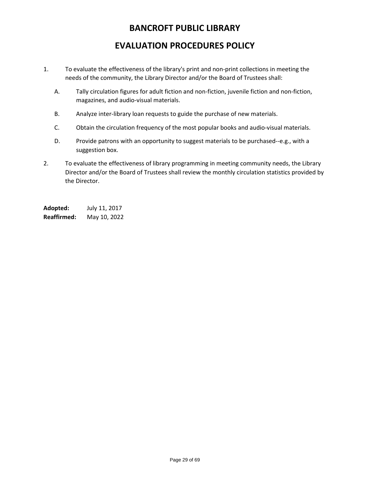# **EVALUATION PROCEDURES POLICY**

- <span id="page-29-0"></span>1. To evaluate the effectiveness of the library's print and non-print collections in meeting the needs of the community, the Library Director and/or the Board of Trustees shall:
	- A. Tally circulation figures for adult fiction and non-fiction, juvenile fiction and non-fiction, magazines, and audio-visual materials.
	- B. Analyze inter-library loan requests to guide the purchase of new materials.
	- C. Obtain the circulation frequency of the most popular books and audio-visual materials.
	- D. Provide patrons with an opportunity to suggest materials to be purchased--e.g., with a suggestion box.
- 2. To evaluate the effectiveness of library programming in meeting community needs, the Library Director and/or the Board of Trustees shall review the monthly circulation statistics provided by the Director.

**Adopted:** July 11, 2017 **Reaffirmed:** May 10, 2022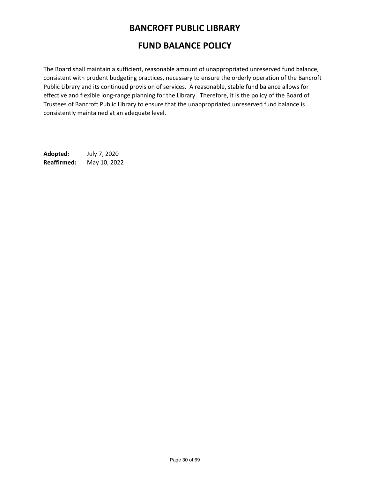# **FUND BALANCE POLICY**

<span id="page-30-0"></span>The Board shall maintain a sufficient, reasonable amount of unappropriated unreserved fund balance, consistent with prudent budgeting practices, necessary to ensure the orderly operation of the Bancroft Public Library and its continued provision of services. A reasonable, stable fund balance allows for effective and flexible long-range planning for the Library. Therefore, it is the policy of the Board of Trustees of Bancroft Public Library to ensure that the unappropriated unreserved fund balance is consistently maintained at an adequate level.

**Adopted:** July 7, 2020 **Reaffirmed:** May 10, 2022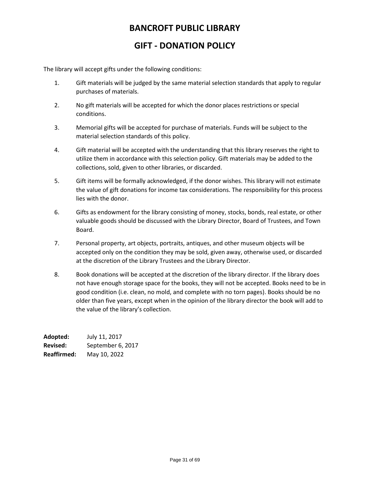# **GIFT - DONATION POLICY**

<span id="page-31-0"></span>The library will accept gifts under the following conditions:

- 1. Gift materials will be judged by the same material selection standards that apply to regular purchases of materials.
- 2. No gift materials will be accepted for which the donor places restrictions or special conditions.
- 3. Memorial gifts will be accepted for purchase of materials. Funds will be subject to the material selection standards of this policy.
- 4. Gift material will be accepted with the understanding that this library reserves the right to utilize them in accordance with this selection policy. Gift materials may be added to the collections, sold, given to other libraries, or discarded.
- 5. Gift items will be formally acknowledged, if the donor wishes. This library will not estimate the value of gift donations for income tax considerations. The responsibility for this process lies with the donor.
- 6. Gifts as endowment for the library consisting of money, stocks, bonds, real estate, or other valuable goods should be discussed with the Library Director, Board of Trustees, and Town Board.
- 7. Personal property, art objects, portraits, antiques, and other museum objects will be accepted only on the condition they may be sold, given away, otherwise used, or discarded at the discretion of the Library Trustees and the Library Director.
- 8. Book donations will be accepted at the discretion of the library director. If the library does not have enough storage space for the books, they will not be accepted. Books need to be in good condition (i.e. clean, no mold, and complete with no torn pages). Books should be no older than five years, except when in the opinion of the library director the book will add to the value of the library's collection.

**Adopted:** July 11, 2017 **Revised:** September 6, 2017 **Reaffirmed:** May 10, 2022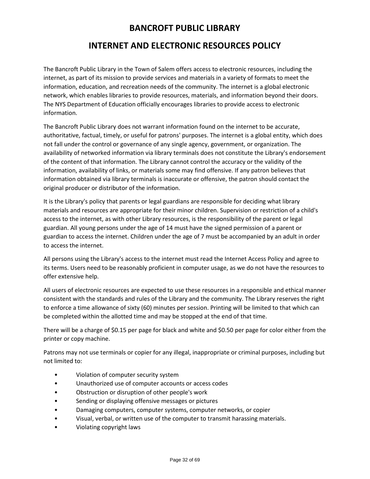# **INTERNET AND ELECTRONIC RESOURCES POLICY**

<span id="page-32-0"></span>The Bancroft Public Library in the Town of Salem offers access to electronic resources, including the internet, as part of its mission to provide services and materials in a variety of formats to meet the information, education, and recreation needs of the community. The internet is a global electronic network, which enables libraries to provide resources, materials, and information beyond their doors. The NYS Department of Education officially encourages libraries to provide access to electronic information.

The Bancroft Public Library does not warrant information found on the internet to be accurate, authoritative, factual, timely, or useful for patrons' purposes. The internet is a global entity, which does not fall under the control or governance of any single agency, government, or organization. The availability of networked information via library terminals does not constitute the Library's endorsement of the content of that information. The Library cannot control the accuracy or the validity of the information, availability of links, or materials some may find offensive. If any patron believes that information obtained via library terminals is inaccurate or offensive, the patron should contact the original producer or distributor of the information.

It is the Library's policy that parents or legal guardians are responsible for deciding what library materials and resources are appropriate for their minor children. Supervision or restriction of a child's access to the internet, as with other Library resources, is the responsibility of the parent or legal guardian. All young persons under the age of 14 must have the signed permission of a parent or guardian to access the internet. Children under the age of 7 must be accompanied by an adult in order to access the internet.

All persons using the Library's access to the internet must read the Internet Access Policy and agree to its terms. Users need to be reasonably proficient in computer usage, as we do not have the resources to offer extensive help.

All users of electronic resources are expected to use these resources in a responsible and ethical manner consistent with the standards and rules of the Library and the community. The Library reserves the right to enforce a time allowance of sixty (60) minutes per session. Printing will be limited to that which can be completed within the allotted time and may be stopped at the end of that time.

There will be a charge of \$0.15 per page for black and white and \$0.50 per page for color either from the printer or copy machine.

Patrons may not use terminals or copier for any illegal, inappropriate or criminal purposes, including but not limited to:

- Violation of computer security system
- Unauthorized use of computer accounts or access codes
- Obstruction or disruption of other people's work
- Sending or displaying offensive messages or pictures
- Damaging computers, computer systems, computer networks, or copier
- Visual, verbal, or written use of the computer to transmit harassing materials.
- Violating copyright laws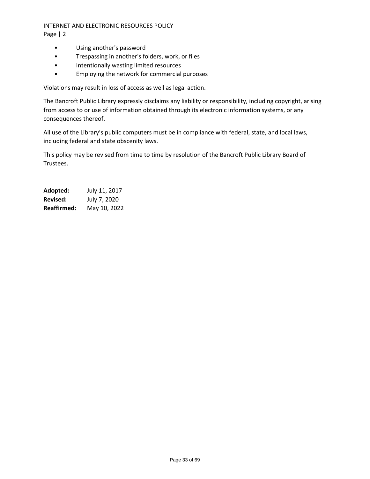#### INTERNET AND ELECTRONIC RESOURCES POLICY

Page | 2

- Using another's password
- Trespassing in another's folders, work, or files
- Intentionally wasting limited resources
- Employing the network for commercial purposes

Violations may result in loss of access as well as legal action.

The Bancroft Public Library expressly disclaims any liability or responsibility, including copyright, arising from access to or use of information obtained through its electronic information systems, or any consequences thereof.

All use of the Library's public computers must be in compliance with federal, state, and local laws, including federal and state obscenity laws.

This policy may be revised from time to time by resolution of the Bancroft Public Library Board of Trustees.

**Adopted:** July 11, 2017 **Revised:** July 7, 2020 **Reaffirmed:** May 10, 2022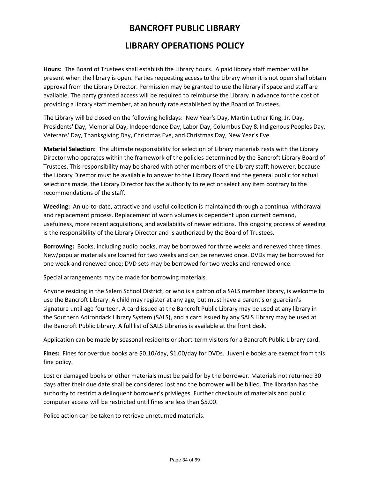# **LIBRARY OPERATIONS POLICY**

<span id="page-34-0"></span>**Hours:** The Board of Trustees shall establish the Library hours. A paid library staff member will be present when the library is open. Parties requesting access to the Library when it is not open shall obtain approval from the Library Director. Permission may be granted to use the library if space and staff are available. The party granted access will be required to reimburse the Library in advance for the cost of providing a library staff member, at an hourly rate established by the Board of Trustees.

The Library will be closed on the following holidays: New Year's Day, Martin Luther King, Jr. Day, Presidents' Day, Memorial Day, Independence Day, Labor Day, Columbus Day & Indigenous Peoples Day, Veterans' Day, Thanksgiving Day, Christmas Eve, and Christmas Day, New Year's Eve.

**Material Selection:** The ultimate responsibility for selection of Library materials rests with the Library Director who operates within the framework of the policies determined by the Bancroft Library Board of Trustees. This responsibility may be shared with other members of the Library staff; however, because the Library Director must be available to answer to the Library Board and the general public for actual selections made, the Library Director has the authority to reject or select any item contrary to the recommendations of the staff.

**Weeding:** An up-to-date, attractive and useful collection is maintained through a continual withdrawal and replacement process. Replacement of worn volumes is dependent upon current demand, usefulness, more recent acquisitions, and availability of newer editions. This ongoing process of weeding is the responsibility of the Library Director and is authorized by the Board of Trustees.

**Borrowing:** Books, including audio books, may be borrowed for three weeks and renewed three times. New/popular materials are loaned for two weeks and can be renewed once. DVDs may be borrowed for one week and renewed once; DVD sets may be borrowed for two weeks and renewed once.

Special arrangements may be made for borrowing materials.

Anyone residing in the Salem School District, or who is a patron of a SALS member library, is welcome to use the Bancroft Library. A child may register at any age, but must have a parent's or guardian's signature until age fourteen. A card issued at the Bancroft Public Library may be used at any library in the Southern Adirondack Library System (SALS), and a card issued by any SALS Library may be used at the Bancroft Public Library. A full list of SALS Libraries is available at the front desk.

Application can be made by seasonal residents or short-term visitors for a Bancroft Public Library card.

**Fines:** Fines for overdue books are \$0.10/day, \$1.00/day for DVDs. Juvenile books are exempt from this fine policy.

Lost or damaged books or other materials must be paid for by the borrower. Materials not returned 30 days after their due date shall be considered lost and the borrower will be billed. The librarian has the authority to restrict a delinquent borrower's privileges. Further checkouts of materials and public computer access will be restricted until fines are less than \$5.00.

Police action can be taken to retrieve unreturned materials.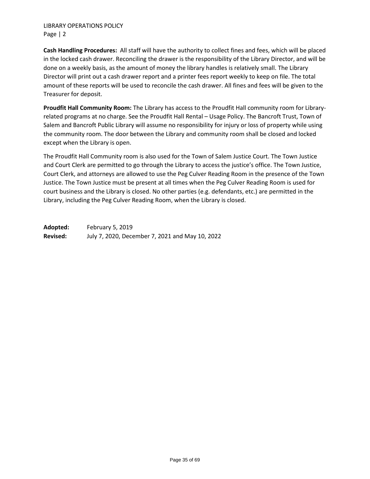LIBRARY OPERATIONS POLICY Page | 2

**Cash Handling Procedures:** All staff will have the authority to collect fines and fees, which will be placed in the locked cash drawer. Reconciling the drawer is the responsibility of the Library Director, and will be done on a weekly basis, as the amount of money the library handles is relatively small. The Library Director will print out a cash drawer report and a printer fees report weekly to keep on file. The total amount of these reports will be used to reconcile the cash drawer. All fines and fees will be given to the Treasurer for deposit.

**Proudfit Hall Community Room:** The Library has access to the Proudfit Hall community room for Libraryrelated programs at no charge. See the Proudfit Hall Rental – Usage Policy. The Bancroft Trust, Town of Salem and Bancroft Public Library will assume no responsibility for injury or loss of property while using the community room. The door between the Library and community room shall be closed and locked except when the Library is open.

The Proudfit Hall Community room is also used for the Town of Salem Justice Court. The Town Justice and Court Clerk are permitted to go through the Library to access the justice's office. The Town Justice, Court Clerk, and attorneys are allowed to use the Peg Culver Reading Room in the presence of the Town Justice. The Town Justice must be present at all times when the Peg Culver Reading Room is used for court business and the Library is closed. No other parties (e.g. defendants, etc.) are permitted in the Library, including the Peg Culver Reading Room, when the Library is closed.

**Adopted:** February 5, 2019 **Revised:** July 7, 2020, December 7, 2021 and May 10, 2022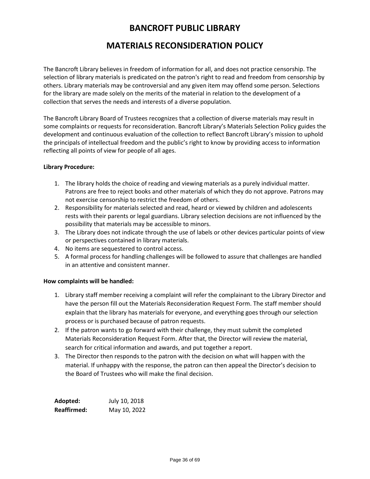# **MATERIALS RECONSIDERATION POLICY**

<span id="page-36-0"></span>The Bancroft Library believes in freedom of information for all, and does not practice censorship. The selection of library materials is predicated on the patron's right to read and freedom from censorship by others. Library materials may be controversial and any given item may offend some person. Selections for the library are made solely on the merits of the material in relation to the development of a collection that serves the needs and interests of a diverse population.

The Bancroft Library Board of Trustees recognizes that a collection of diverse materials may result in some complaints or requests for reconsideration. Bancroft Library's Materials Selection Policy guides the development and continuous evaluation of the collection to reflect Bancroft Library's mission to uphold the principals of intellectual freedom and the public's right to know by providing access to information reflecting all points of view for people of all ages.

#### **Library Procedure:**

- 1. The library holds the choice of reading and viewing materials as a purely individual matter. Patrons are free to reject books and other materials of which they do not approve. Patrons may not exercise censorship to restrict the freedom of others.
- 2. Responsibility for materials selected and read, heard or viewed by children and adolescents rests with their parents or legal guardians. Library selection decisions are not influenced by the possibility that materials may be accessible to minors.
- 3. The Library does not indicate through the use of labels or other devices particular points of view or perspectives contained in library materials.
- 4. No items are sequestered to control access.
- 5. A formal process for handling challenges will be followed to assure that challenges are handled in an attentive and consistent manner.

#### **How complaints will be handled:**

- 1. Library staff member receiving a complaint will refer the complainant to the Library Director and have the person fill out the Materials Reconsideration Request Form. The staff member should explain that the library has materials for everyone, and everything goes through our selection process or is purchased because of patron requests.
- 2. If the patron wants to go forward with their challenge, they must submit the completed Materials Reconsideration Request Form. After that, the Director will review the material, search for critical information and awards, and put together a report.
- 3. The Director then responds to the patron with the decision on what will happen with the material. If unhappy with the response, the patron can then appeal the Director's decision to the Board of Trustees who will make the final decision.

| Adopted:    | July 10, 2018 |
|-------------|---------------|
| Reaffirmed: | May 10, 2022  |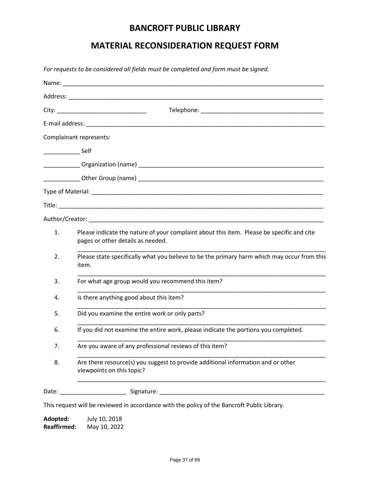# **MATERIAL RECONSIDERATION REQUEST FORM**

<span id="page-37-0"></span>

|    | For requests to be considered all fields must be completed and form must be signed.                                                                                                                                            |
|----|--------------------------------------------------------------------------------------------------------------------------------------------------------------------------------------------------------------------------------|
|    |                                                                                                                                                                                                                                |
|    |                                                                                                                                                                                                                                |
|    |                                                                                                                                                                                                                                |
|    |                                                                                                                                                                                                                                |
|    | Complainant represents:                                                                                                                                                                                                        |
|    | _______________ Self                                                                                                                                                                                                           |
|    |                                                                                                                                                                                                                                |
|    |                                                                                                                                                                                                                                |
|    | Type of Material: Type of Material:                                                                                                                                                                                            |
|    |                                                                                                                                                                                                                                |
|    |                                                                                                                                                                                                                                |
| 1. | Please indicate the nature of your complaint about this item. Please be specific and cite<br>pages or other details as needed.                                                                                                 |
| 2. | Please state specifically what you believe to be the primary harm which may occur from this<br>item.                                                                                                                           |
| 3. | For what age group would you recommend this item?                                                                                                                                                                              |
| 4. | Is there anything good about this item?                                                                                                                                                                                        |
| 5. | Did you examine the entire work or only parts?                                                                                                                                                                                 |
| 6. | If you did not examine the entire work, please indicate the portions you completed.                                                                                                                                            |
| 7. | Are you aware of any professional reviews of this item?                                                                                                                                                                        |
| 8. | Are there resource(s) you suggest to provide additional information and or other<br>viewpoints on this topic?                                                                                                                  |
|    | Date: Signature: Signature: Signature: Signature: Signature: Signature: Signature: Signature: Signature: Signature: Signature: Signature: Signature: Signature: Signature: Signature: Signature: Signature: Signature: Signatu |
|    | This request will be reviewed in accordance with the policy of the Bancroft Public Library.                                                                                                                                    |

**Adopted:** July 10, 2018 **Reaffirmed:** May 10, 2022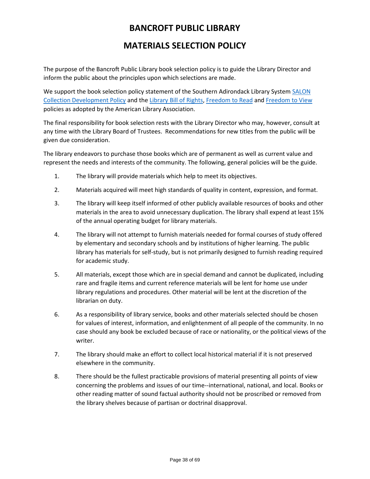# **MATERIALS SELECTION POLICY**

<span id="page-38-0"></span>The purpose of the Bancroft Public Library book selection policy is to guide the Library Director and inform the public about the principles upon which selections are made.

We support the book selection policy statement of the Southern Adirondack Library Syste[m SALON](https://salsblog.sals.edu/about-us/policies/salon-overdrive-policies/)  [Collection Development Policy](https://salsblog.sals.edu/about-us/policies/salon-overdrive-policies/) and th[e Library Bill of Rights,](https://www.ala.org/advocacy/intfreedom/librarybill) [Freedom to Read](https://www.ala.org/advocacy/intfreedom/freedomreadstatement) and [Freedom to View](https://www.ala.org/advocacy/intfreedom/freedomviewstatement) policies as adopted by the American Library Association.

The final responsibility for book selection rests with the Library Director who may, however, consult at any time with the Library Board of Trustees. Recommendations for new titles from the public will be given due consideration.

The library endeavors to purchase those books which are of permanent as well as current value and represent the needs and interests of the community. The following, general policies will be the guide.

- 1. The library will provide materials which help to meet its objectives.
- 2. Materials acquired will meet high standards of quality in content, expression, and format.
- 3. The library will keep itself informed of other publicly available resources of books and other materials in the area to avoid unnecessary duplication. The library shall expend at least 15% of the annual operating budget for library materials.
- 4. The library will not attempt to furnish materials needed for formal courses of study offered by elementary and secondary schools and by institutions of higher learning. The public library has materials for self-study, but is not primarily designed to furnish reading required for academic study.
- 5. All materials, except those which are in special demand and cannot be duplicated, including rare and fragile items and current reference materials will be lent for home use under library regulations and procedures. Other material will be lent at the discretion of the librarian on duty.
- 6. As a responsibility of library service, books and other materials selected should be chosen for values of interest, information, and enlightenment of all people of the community. In no case should any book be excluded because of race or nationality, or the political views of the writer.
- 7. The library should make an effort to collect local historical material if it is not preserved elsewhere in the community.
- 8. There should be the fullest practicable provisions of material presenting all points of view concerning the problems and issues of our time--international, national, and local. Books or other reading matter of sound factual authority should not be proscribed or removed from the library shelves because of partisan or doctrinal disapproval.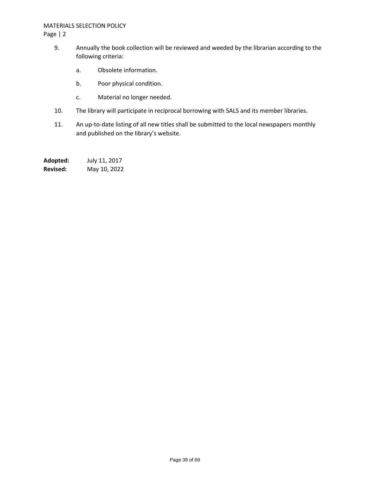#### MATERIALS SELECTION POLICY

Page | 2

- 9. Annually the book collection will be reviewed and weeded by the librarian according to the following criteria:
	- a. Obsolete information.
	- b. Poor physical condition.
	- c. Material no longer needed.
- 10. The library will participate in reciprocal borrowing with SALS and its member libraries.
- 11. An up-to-date listing of all new titles shall be submitted to the local newspapers monthly and published on the library's website.

**Adopted:** July 11, 2017 **Revised:** May 10, 2022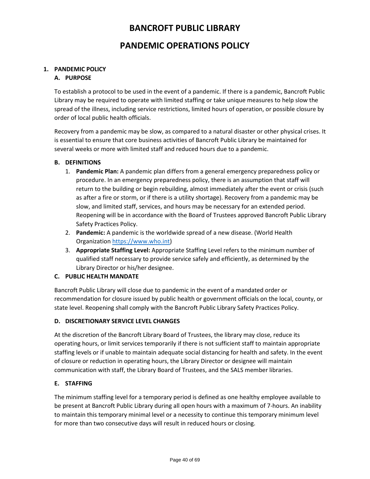# **PANDEMIC OPERATIONS POLICY**

#### <span id="page-40-0"></span>**1. PANDEMIC POLICY**

#### **A. PURPOSE**

To establish a protocol to be used in the event of a pandemic. If there is a pandemic, Bancroft Public Library may be required to operate with limited staffing or take unique measures to help slow the spread of the illness, including service restrictions, limited hours of operation, or possible closure by order of local public health officials.

Recovery from a pandemic may be slow, as compared to a natural disaster or other physical crises. It is essential to ensure that core business activities of Bancroft Public Library be maintained for several weeks or more with limited staff and reduced hours due to a pandemic.

#### **B. DEFINITIONS**

- 1. **Pandemic Plan:** A pandemic plan differs from a general emergency preparedness policy or procedure. In an emergency preparedness policy, there is an assumption that staff will return to the building or begin rebuilding, almost immediately after the event or crisis (such as after a fire or storm, or if there is a utility shortage). Recovery from a pandemic may be slow, and limited staff, services, and hours may be necessary for an extended period. Reopening will be in accordance with the Board of Trustees approved Bancroft Public Library Safety Practices Policy.
- 2. **Pandemic:** A pandemic is the worldwide spread of a new disease. (World Health Organization [https://www.who.int\)](https://www.who.int/)
- 3. **Appropriate Staffing Level:** Appropriate Staffing Level refers to the minimum number of qualified staff necessary to provide service safely and efficiently, as determined by the Library Director or his/her designee.

#### **C. PUBLIC HEALTH MANDATE**

Bancroft Public Library will close due to pandemic in the event of a mandated order or recommendation for closure issued by public health or government officials on the local, county, or state level. Reopening shall comply with the Bancroft Public Library Safety Practices Policy.

#### **D. DISCRETIONARY SERVICE LEVEL CHANGES**

At the discretion of the Bancroft Library Board of Trustees, the library may close, reduce its operating hours, or limit services temporarily if there is not sufficient staff to maintain appropriate staffing levels or if unable to maintain adequate social distancing for health and safety. In the event of closure or reduction in operating hours, the Library Director or designee will maintain communication with staff, the Library Board of Trustees, and the SALS member libraries.

#### **E. STAFFING**

The minimum staffing level for a temporary period is defined as one healthy employee available to be present at Bancroft Public Library during all open hours with a maximum of 7-hours. An inability to maintain this temporary minimal level or a necessity to continue this temporary minimum level for more than two consecutive days will result in reduced hours or closing.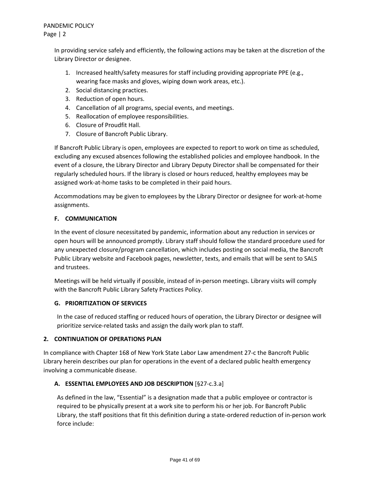In providing service safely and efficiently, the following actions may be taken at the discretion of the Library Director or designee.

- 1. Increased health/safety measures for staff including providing appropriate PPE (e.g., wearing face masks and gloves, wiping down work areas, etc.).
- 2. Social distancing practices.
- 3. Reduction of open hours.
- 4. Cancellation of all programs, special events, and meetings.
- 5. Reallocation of employee responsibilities.
- 6. Closure of Proudfit Hall.
- 7. Closure of Bancroft Public Library.

If Bancroft Public Library is open, employees are expected to report to work on time as scheduled, excluding any excused absences following the established policies and employee handbook. In the event of a closure, the Library Director and Library Deputy Director shall be compensated for their regularly scheduled hours. If the library is closed or hours reduced, healthy employees may be assigned work-at-home tasks to be completed in their paid hours.

Accommodations may be given to employees by the Library Director or designee for work-at-home assignments.

#### **F. COMMUNICATION**

In the event of closure necessitated by pandemic, information about any reduction in services or open hours will be announced promptly. Library staff should follow the standard procedure used for any unexpected closure/program cancellation, which includes posting on social media, the Bancroft Public Library website and Facebook pages, newsletter, texts, and emails that will be sent to SALS and trustees.

Meetings will be held virtually if possible, instead of in-person meetings. Library visits will comply with the Bancroft Public Library Safety Practices Policy.

#### **G. PRIORITIZATION OF SERVICES**

In the case of reduced staffing or reduced hours of operation, the Library Director or designee will prioritize service-related tasks and assign the daily work plan to staff.

#### **2. CONTINUATION OF OPERATIONS PLAN**

In compliance with Chapter 168 of New York State Labor Law amendment 27-c the Bancroft Public Library herein describes our plan for operations in the event of a declared public health emergency involving a communicable disease.

#### **A. ESSENTIAL EMPLOYEES AND JOB DESCRIPTION** [§27-c.3.a]

As defined in the law, "Essential" is a designation made that a public employee or contractor is required to be physically present at a work site to perform his or her job. For Bancroft Public Library, the staff positions that fit this definition during a state-ordered reduction of in-person work force include: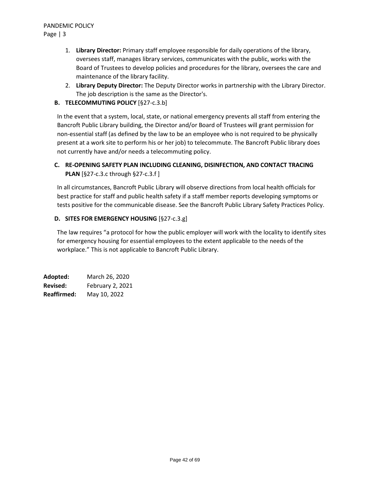- 1. **Library Director:** Primary staff employee responsible for daily operations of the library, oversees staff, manages library services, communicates with the public, works with the Board of Trustees to develop policies and procedures for the library, oversees the care and maintenance of the library facility.
- 2. **Library Deputy Director:** The Deputy Director works in partnership with the Library Director. The job description is the same as the Director's.

#### **B. TELECOMMUTING POLICY** [§27-c.3.b]

In the event that a system, local, state, or national emergency prevents all staff from entering the Bancroft Public Library building, the Director and/or Board of Trustees will grant permission for non-essential staff (as defined by the law to be an employee who is not required to be physically present at a work site to perform his or her job) to telecommute. The Bancroft Public library does not currently have and/or needs a telecommuting policy.

#### **C. RE-OPENING SAFETY PLAN INCLUDING CLEANING, DISINFECTION, AND CONTACT TRACING PLAN** [§27-c.3.c through §27-c.3.f ]

In all circumstances, Bancroft Public Library will observe directions from local health officials for best practice for staff and public health safety if a staff member reports developing symptoms or tests positive for the communicable disease. See the Bancroft Public Library Safety Practices Policy.

#### **D. SITES FOR EMERGENCY HOUSING** [§27-c.3.g]

The law requires "a protocol for how the public employer will work with the locality to identify sites for emergency housing for essential employees to the extent applicable to the needs of the workplace." This is not applicable to Bancroft Public Library.

**Adopted:** March 26, 2020 **Revised:** February 2, 2021 **Reaffirmed:** May 10, 2022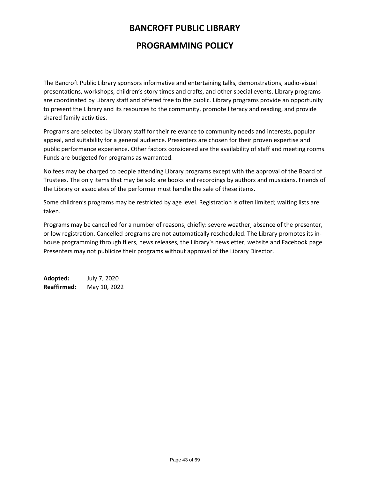# **PROGRAMMING POLICY**

<span id="page-43-0"></span>The Bancroft Public Library sponsors informative and entertaining talks, demonstrations, audio-visual presentations, workshops, children's story times and crafts, and other special events. Library programs are coordinated by Library staff and offered free to the public. Library programs provide an opportunity to present the Library and its resources to the community, promote literacy and reading, and provide shared family activities.

Programs are selected by Library staff for their relevance to community needs and interests, popular appeal, and suitability for a general audience. Presenters are chosen for their proven expertise and public performance experience. Other factors considered are the availability of staff and meeting rooms. Funds are budgeted for programs as warranted.

No fees may be charged to people attending Library programs except with the approval of the Board of Trustees. The only items that may be sold are books and recordings by authors and musicians. Friends of the Library or associates of the performer must handle the sale of these items.

Some children's programs may be restricted by age level. Registration is often limited; waiting lists are taken.

Programs may be cancelled for a number of reasons, chiefly: severe weather, absence of the presenter, or low registration. Cancelled programs are not automatically rescheduled. The Library promotes its inhouse programming through fliers, news releases, the Library's newsletter, website and Facebook page. Presenters may not publicize their programs without approval of the Library Director.

**Adopted:** July 7, 2020 **Reaffirmed:** May 10, 2022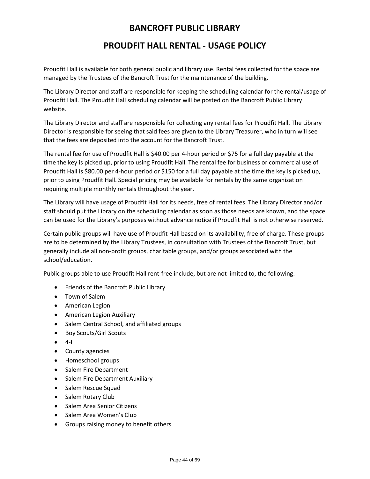# **PROUDFIT HALL RENTAL - USAGE POLICY**

<span id="page-44-0"></span>Proudfit Hall is available for both general public and library use. Rental fees collected for the space are managed by the Trustees of the Bancroft Trust for the maintenance of the building.

The Library Director and staff are responsible for keeping the scheduling calendar for the rental/usage of Proudfit Hall. The Proudfit Hall scheduling calendar will be posted on the Bancroft Public Library website.

The Library Director and staff are responsible for collecting any rental fees for Proudfit Hall. The Library Director is responsible for seeing that said fees are given to the Library Treasurer, who in turn will see that the fees are deposited into the account for the Bancroft Trust.

The rental fee for use of Proudfit Hall is \$40.00 per 4-hour period or \$75 for a full day payable at the time the key is picked up, prior to using Proudfit Hall. The rental fee for business or commercial use of Proudfit Hall is \$80.00 per 4-hour period or \$150 for a full day payable at the time the key is picked up, prior to using Proudfit Hall. Special pricing may be available for rentals by the same organization requiring multiple monthly rentals throughout the year.

The Library will have usage of Proudfit Hall for its needs, free of rental fees. The Library Director and/or staff should put the Library on the scheduling calendar as soon as those needs are known, and the space can be used for the Library's purposes without advance notice if Proudfit Hall is not otherwise reserved.

Certain public groups will have use of Proudfit Hall based on its availability, free of charge. These groups are to be determined by the Library Trustees, in consultation with Trustees of the Bancroft Trust, but generally include all non-profit groups, charitable groups, and/or groups associated with the school/education.

Public groups able to use Proudfit Hall rent-free include, but are not limited to, the following:

- Friends of the Bancroft Public Library
- Town of Salem
- American Legion
- American Legion Auxiliary
- Salem Central School, and affiliated groups
- Boy Scouts/Girl Scouts
- 4-H
- County agencies
- Homeschool groups
- Salem Fire Department
- Salem Fire Department Auxiliary
- Salem Rescue Squad
- Salem Rotary Club
- Salem Area Senior Citizens
- Salem Area Women's Club
- Groups raising money to benefit others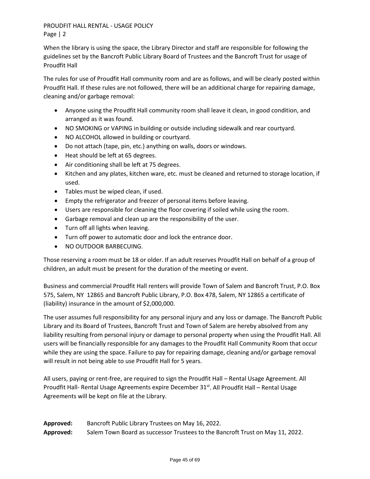#### PROUDFIT HALL RENTAL - USAGE POLICY Page | 2

When the library is using the space, the Library Director and staff are responsible for following the guidelines set by the Bancroft Public Library Board of Trustees and the Bancroft Trust for usage of Proudfit Hall

The rules for use of Proudfit Hall community room and are as follows, and will be clearly posted within Proudfit Hall. If these rules are not followed, there will be an additional charge for repairing damage, cleaning and/or garbage removal:

- Anyone using the Proudfit Hall community room shall leave it clean, in good condition, and arranged as it was found.
- NO SMOKING or VAPING in building or outside including sidewalk and rear courtyard.
- NO ALCOHOL allowed in building or courtyard.
- Do not attach (tape, pin, etc.) anything on walls, doors or windows.
- Heat should be left at 65 degrees.
- Air conditioning shall be left at 75 degrees.
- Kitchen and any plates, kitchen ware, etc. must be cleaned and returned to storage location, if used.
- Tables must be wiped clean, if used.
- Empty the refrigerator and freezer of personal items before leaving.
- Users are responsible for cleaning the floor covering if soiled while using the room.
- Garbage removal and clean up are the responsibility of the user.
- Turn off all lights when leaving.
- Turn off power to automatic door and lock the entrance door.
- NO OUTDOOR BARBECUING.

Those reserving a room must be 18 or older. If an adult reserves Proudfit Hall on behalf of a group of children, an adult must be present for the duration of the meeting or event.

Business and commercial Proudfit Hall renters will provide Town of Salem and Bancroft Trust, P.O. Box 575, Salem, NY 12865 and Bancroft Public Library, P.O. Box 478, Salem, NY 12865 a certificate of (liability) insurance in the amount of \$2,000,000.

The user assumes full responsibility for any personal injury and any loss or damage. The Bancroft Public Library and its Board of Trustees, Bancroft Trust and Town of Salem are hereby absolved from any liability resulting from personal injury or damage to personal property when using the Proudfit Hall. All users will be financially responsible for any damages to the Proudfit Hall Community Room that occur while they are using the space. Failure to pay for repairing damage, cleaning and/or garbage removal will result in not being able to use Proudfit Hall for 5 years.

All users, paying or rent-free, are required to sign the Proudfit Hall – Rental Usage Agreement. All Proudfit Hall- Rental Usage Agreements expire December 31<sup>st</sup>. All Proudfit Hall – Rental Usage Agreements will be kept on file at the Library.

**Approved:** Bancroft Public Library Trustees on May 16, 2022. **Approved:** Salem Town Board as successor Trustees to the Bancroft Trust on May 11, 2022.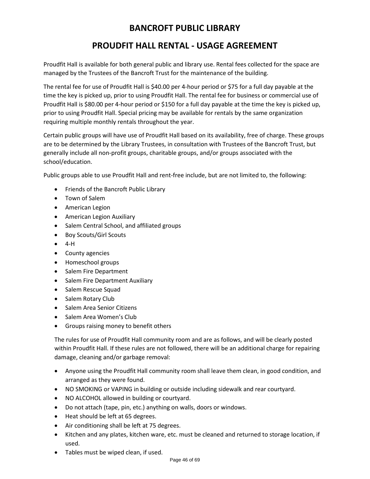# **PROUDFIT HALL RENTAL - USAGE AGREEMENT**

<span id="page-46-0"></span>Proudfit Hall is available for both general public and library use. Rental fees collected for the space are managed by the Trustees of the Bancroft Trust for the maintenance of the building.

The rental fee for use of Proudfit Hall is \$40.00 per 4-hour period or \$75 for a full day payable at the time the key is picked up, prior to using Proudfit Hall. The rental fee for business or commercial use of Proudfit Hall is \$80.00 per 4-hour period or \$150 for a full day payable at the time the key is picked up, prior to using Proudfit Hall. Special pricing may be available for rentals by the same organization requiring multiple monthly rentals throughout the year.

Certain public groups will have use of Proudfit Hall based on its availability, free of charge. These groups are to be determined by the Library Trustees, in consultation with Trustees of the Bancroft Trust, but generally include all non-profit groups, charitable groups, and/or groups associated with the school/education.

Public groups able to use Proudfit Hall and rent-free include, but are not limited to, the following:

- Friends of the Bancroft Public Library
- Town of Salem
- American Legion
- American Legion Auxiliary
- Salem Central School, and affiliated groups
- Boy Scouts/Girl Scouts
- 4-H
- County agencies
- Homeschool groups
- Salem Fire Department
- Salem Fire Department Auxiliary
- Salem Rescue Squad
- Salem Rotary Club
- Salem Area Senior Citizens
- Salem Area Women's Club
- Groups raising money to benefit others

The rules for use of Proudfit Hall community room and are as follows, and will be clearly posted within Proudfit Hall. If these rules are not followed, there will be an additional charge for repairing damage, cleaning and/or garbage removal:

- Anyone using the Proudfit Hall community room shall leave them clean, in good condition, and arranged as they were found.
- NO SMOKING or VAPING in building or outside including sidewalk and rear courtyard.
- NO ALCOHOL allowed in building or courtyard.
- Do not attach (tape, pin, etc.) anything on walls, doors or windows.
- Heat should be left at 65 degrees.
- Air conditioning shall be left at 75 degrees.
- Kitchen and any plates, kitchen ware, etc. must be cleaned and returned to storage location, if used.
- Tables must be wiped clean, if used.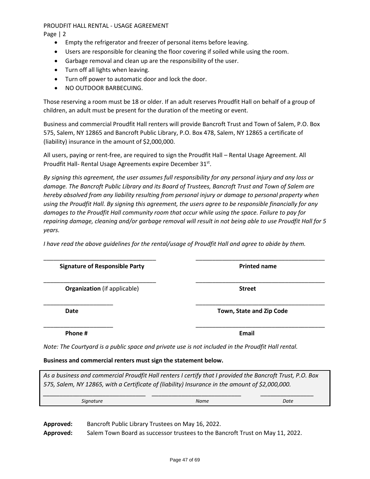#### PROUDFIT HALL RENTAL - USAGE AGREEMENT

Page | 2

- Empty the refrigerator and freezer of personal items before leaving.
- Users are responsible for cleaning the floor covering if soiled while using the room.
- Garbage removal and clean up are the responsibility of the user.
- Turn off all lights when leaving.
- Turn off power to automatic door and lock the door.
- NO OUTDOOR BARBECUING.

Those reserving a room must be 18 or older. If an adult reserves Proudfit Hall on behalf of a group of children, an adult must be present for the duration of the meeting or event.

Business and commercial Proudfit Hall renters will provide Bancroft Trust and Town of Salem, P.O. Box 575, Salem, NY 12865 and Bancroft Public Library, P.O. Box 478, Salem, NY 12865 a certificate of (liability) insurance in the amount of \$2,000,000.

All users, paying or rent-free, are required to sign the Proudfit Hall – Rental Usage Agreement. All Proudfit Hall- Rental Usage Agreements expire December 31<sup>st</sup>.

*By signing this agreement, the user assumes full responsibility for any personal injury and any loss or damage. The Bancroft Public Library and its Board of Trustees, Bancroft Trust and Town of Salem are hereby absolved from any liability resulting from personal injury or damage to personal property when using the Proudfit Hall. By signing this agreement, the users agree to be responsible financially for any damages to the Proudfit Hall community room that occur while using the space. Failure to pay for repairing damage, cleaning and/or garbage removal will result in not being able to use Proudfit Hall for 5 years.*

*I have read the above guidelines for the rental/usage of Proudfit Hall and agree to abide by them.* 

| <b>Signature of Responsible Party</b> | <b>Printed name</b>      |
|---------------------------------------|--------------------------|
| <b>Organization</b> (if applicable)   | <b>Street</b>            |
| Date                                  | Town, State and Zip Code |
| Phone#                                | <b>Email</b>             |

#### **Business and commercial renters must sign the statement below.**

| As a business and commercial Proudfit Hall renters I certify that I provided the Bancroft Trust, P.O. Box |  |  |  |
|-----------------------------------------------------------------------------------------------------------|--|--|--|
| 575, Salem, NY 12865, with a Certificate of (liability) Insurance in the amount of \$2,000,000.           |  |  |  |
| Signature<br>Date<br>Name                                                                                 |  |  |  |
|                                                                                                           |  |  |  |

**Approved:** Bancroft Public Library Trustees on May 16, 2022. **Approved:** Salem Town Board as successor trustees to the Bancroft Trust on May 11, 2022.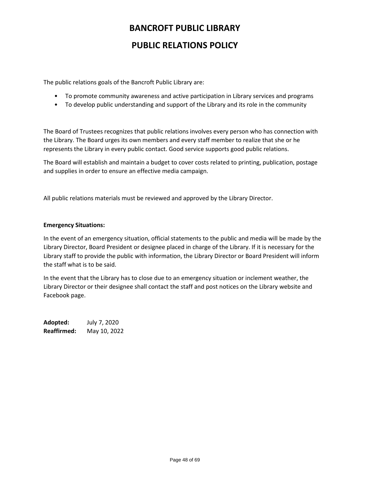# **BANCROFT PUBLIC LIBRARY PUBLIC RELATIONS POLICY**

<span id="page-48-0"></span>The public relations goals of the Bancroft Public Library are:

- To promote community awareness and active participation in Library services and programs
- To develop public understanding and support of the Library and its role in the community

The Board of Trustees recognizes that public relations involves every person who has connection with the Library. The Board urges its own members and every staff member to realize that she or he represents the Library in every public contact. Good service supports good public relations.

The Board will establish and maintain a budget to cover costs related to printing, publication, postage and supplies in order to ensure an effective media campaign.

All public relations materials must be reviewed and approved by the Library Director.

#### **Emergency Situations:**

In the event of an emergency situation, official statements to the public and media will be made by the Library Director, Board President or designee placed in charge of the Library. If it is necessary for the Library staff to provide the public with information, the Library Director or Board President will inform the staff what is to be said.

In the event that the Library has to close due to an emergency situation or inclement weather, the Library Director or their designee shall contact the staff and post notices on the Library website and Facebook page.

**Adopted:** July 7, 2020 **Reaffirmed:** May 10, 2022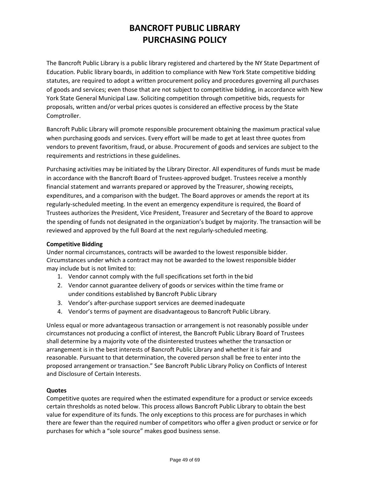# **BANCROFT PUBLIC LIBRARY PURCHASING POLICY**

<span id="page-49-0"></span>The Bancroft Public Library is a public library registered and chartered by the NY State Department of Education. Public library boards, in addition to compliance with New York State competitive bidding statutes, are required to adopt a written procurement policy and procedures governing all purchases of goods and services; even those that are not subject to competitive bidding, in accordance with New York State General Municipal Law. Soliciting competition through competitive bids, requests for proposals, written and/or verbal prices quotes is considered an effective process by the State Comptroller.

Bancroft Public Library will promote responsible procurement obtaining the maximum practical value when purchasing goods and services. Every effort will be made to get at least three quotes from vendors to prevent favoritism, fraud, or abuse. Procurement of goods and services are subject to the requirements and restrictions in these guidelines.

Purchasing activities may be initiated by the Library Director. All expenditures of funds must be made in accordance with the Bancroft Board of Trustees-approved budget. Trustees receive a monthly financial statement and warrants prepared or approved by the Treasurer, showing receipts, expenditures, and a comparison with the budget. The Board approves or amends the report at its regularly-scheduled meeting. In the event an emergency expenditure is required, the Board of Trustees authorizes the President, Vice President, Treasurer and Secretary of the Board to approve the spending of funds not designated in the organization's budget by majority. The transaction will be reviewed and approved by the full Board at the next regularly-scheduled meeting.

#### **Competitive Bidding**

Under normal circumstances, contracts will be awarded to the lowest responsible bidder. Circumstances under which a contract may not be awarded to the lowest responsible bidder may include but is not limited to:

- 1. Vendor cannot comply with the full specifications set forth in the bid
- 2. Vendor cannot guarantee delivery of goods or services within the time frame or under conditions established by Bancroft Public Library
- 3. Vendor's after-purchase support services are deemed inadequate
- 4. Vendor's terms of payment are disadvantageous to Bancroft Public Library.

Unless equal or more advantageous transaction or arrangement is not reasonably possible under circumstances not producing a conflict of interest, the Bancroft Public Library Board of Trustees shall determine by a majority vote of the disinterested trustees whether the transaction or arrangement is in the best interests of Bancroft Public Library and whether it is fair and reasonable. Pursuant to that determination, the covered person shall be free to enter into the proposed arrangement or transaction." See Bancroft Public Library Policy on Conflicts of Interest and Disclosure of Certain Interests.

#### **Quotes**

Competitive quotes are required when the estimated expenditure for a product or service exceeds certain thresholds as noted below. This process allows Bancroft Public Library to obtain the best value for expenditure of its funds. The only exceptions to this process are for purchases in which there are fewer than the required number of competitors who offer a given product or service or for purchases for which a "sole source" makes good business sense.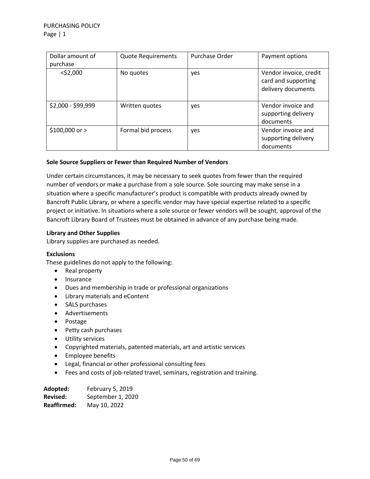| Dollar amount of        | <b>Quote Requirements</b> | Purchase Order | Payment options                                                     |
|-------------------------|---------------------------|----------------|---------------------------------------------------------------------|
| purchase<br>$<$ \$2,000 | No quotes                 | yes            | Vendor invoice, credit<br>card and supporting<br>delivery documents |
| \$2,000 - \$99,999      | Written quotes            | yes            | Vendor invoice and<br>supporting delivery<br>documents              |
| $$100,000$ or $>$       | Formal bid process        | yes            | Vendor invoice and<br>supporting delivery<br>documents              |

#### **Sole Source Suppliers or Fewer than Required Number of Vendors**

Under certain circumstances, it may be necessary to seek quotes from fewer than the required number of vendors or make a purchase from a sole source. Sole sourcing may make sense in a situation where a specific manufacturer's product is compatible with products already owned by Bancroft Public Library, or where a specific vendor may have special expertise related to a specific project or initiative. In situations where a sole source or fewer vendors will be sought, approval of the Bancroft Library Board of Trustees must be obtained in advance of any purchase being made.

#### **Library and Other Supplies**

Library supplies are purchased as needed.

#### **Exclusions**

These guidelines do not apply to the following:

- Real property
- Insurance
- Dues and membership in trade or professional organizations
- Library materials and eContent
- SALS purchases
- Advertisements
- Postage
- Petty cash purchases
- Utility services
- Copyrighted materials, patented materials, art and artistic services
- Employee benefits
- Legal, financial or other professional consulting fees
- Fees and costs of job-related travel, seminars, registration and training.

| Adopted:           | February 5, 2019  |
|--------------------|-------------------|
| <b>Revised:</b>    | September 1, 2020 |
| <b>Reaffirmed:</b> | May 10, 2022      |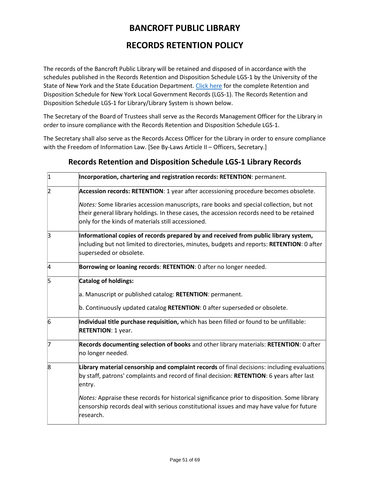# **RECORDS RETENTION POLICY**

<span id="page-51-0"></span>The records of the Bancroft Public Library will be retained and disposed of in accordance with the schedules published in the Records Retention and Disposition Schedule LGS-1 by the University of the State of New York and the State Education Department. [Click here](http://www.archives.nysed.gov/records/local-government-record-schedule/lgs-1-title-page) for the complete Retention and Disposition Schedule for New York Local Government Records (LGS-1). The Records Retention and Disposition Schedule LGS-1 for Library/Library System is shown below.

The Secretary of the Board of Trustees shall serve as the Records Management Officer for the Library in order to insure compliance with the Records Retention and Disposition Schedule LGS-1.

The Secretary shall also serve as the Records Access Officer for the Library in order to ensure compliance with the Freedom of Information Law. [See By-Laws Article II – Officers, Secretary.]

| $\vert 1$    | Incorporation, chartering and registration records: RETENTION: permanent.                                                                                                                                                                  |
|--------------|--------------------------------------------------------------------------------------------------------------------------------------------------------------------------------------------------------------------------------------------|
| 2            | Accession records: RETENTION: 1 year after accessioning procedure becomes obsolete.                                                                                                                                                        |
|              | Notes: Some libraries accession manuscripts, rare books and special collection, but not<br>their general library holdings. In these cases, the accession records need to be retained<br>only for the kinds of materials still accessioned. |
| 3            | Informational copies of records prepared by and received from public library system,                                                                                                                                                       |
|              | including but not limited to directories, minutes, budgets and reports: RETENTION: 0 after<br>superseded or obsolete.                                                                                                                      |
| <sup>4</sup> | Borrowing or loaning records: RETENTION: 0 after no longer needed.                                                                                                                                                                         |
| 5            | <b>Catalog of holdings:</b>                                                                                                                                                                                                                |
|              | a. Manuscript or published catalog: RETENTION: permanent.                                                                                                                                                                                  |
|              | b. Continuously updated catalog RETENTION: 0 after superseded or obsolete.                                                                                                                                                                 |
| 16           | Individual title purchase requisition, which has been filled or found to be unfillable:<br><b>RETENTION: 1 year.</b>                                                                                                                       |
| 17           | Records documenting selection of books and other library materials: RETENTION: 0 after<br>no longer needed.                                                                                                                                |
| 8            | Library material censorship and complaint records of final decisions: including evaluations<br>by staff, patrons' complaints and record of final decision: RETENTION: 6 years after last<br>entry.                                         |
|              | Notes: Appraise these records for historical significance prior to disposition. Some library<br>censorship records deal with serious constitutional issues and may have value for future<br>research.                                      |

# **Records Retention and Disposition Schedule LGS-1 Library Records**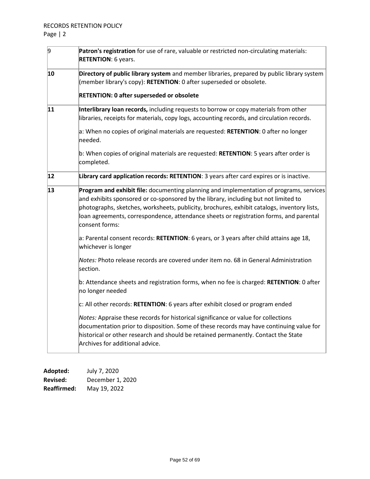<u>and the state</u>

| Patron's registration for use of rare, valuable or restricted non-circulating materials:<br><b>RETENTION: 6 years.</b>                                                                                                                                                                                                                                                                    |
|-------------------------------------------------------------------------------------------------------------------------------------------------------------------------------------------------------------------------------------------------------------------------------------------------------------------------------------------------------------------------------------------|
| Directory of public library system and member libraries, prepared by public library system<br>(member library's copy): RETENTION: 0 after superseded or obsolete.                                                                                                                                                                                                                         |
| <b>RETENTION: 0 after superseded or obsolete</b>                                                                                                                                                                                                                                                                                                                                          |
| Interlibrary loan records, including requests to borrow or copy materials from other                                                                                                                                                                                                                                                                                                      |
| libraries, receipts for materials, copy logs, accounting records, and circulation records.                                                                                                                                                                                                                                                                                                |
| a: When no copies of original materials are requested: RETENTION: 0 after no longer<br>needed.                                                                                                                                                                                                                                                                                            |
| b: When copies of original materials are requested: RETENTION: 5 years after order is<br>completed.                                                                                                                                                                                                                                                                                       |
| Library card application records: RETENTION: 3 years after card expires or is inactive.                                                                                                                                                                                                                                                                                                   |
| Program and exhibit file: documenting planning and implementation of programs, services<br>and exhibits sponsored or co-sponsored by the library, including but not limited to<br>photographs, sketches, worksheets, publicity, brochures, exhibit catalogs, inventory lists,<br>loan agreements, correspondence, attendance sheets or registration forms, and parental<br>consent forms: |
| a: Parental consent records: RETENTION: 6 years, or 3 years after child attains age 18,<br>whichever is longer                                                                                                                                                                                                                                                                            |
| Notes: Photo release records are covered under item no. 68 in General Administration<br>section.                                                                                                                                                                                                                                                                                          |
| b: Attendance sheets and registration forms, when no fee is charged: RETENTION: 0 after<br>no longer needed                                                                                                                                                                                                                                                                               |
| c: All other records: RETENTION: 6 years after exhibit closed or program ended                                                                                                                                                                                                                                                                                                            |
| Notes: Appraise these records for historical significance or value for collections<br>documentation prior to disposition. Some of these records may have continuing value for<br>historical or other research and should be retained permanently. Contact the State<br>Archives for additional advice.                                                                                    |
|                                                                                                                                                                                                                                                                                                                                                                                           |

| Adopted:        | July 7, 2020     |
|-----------------|------------------|
| <b>Revised:</b> | December 1, 2020 |
| Reaffirmed:     | May 19, 2022     |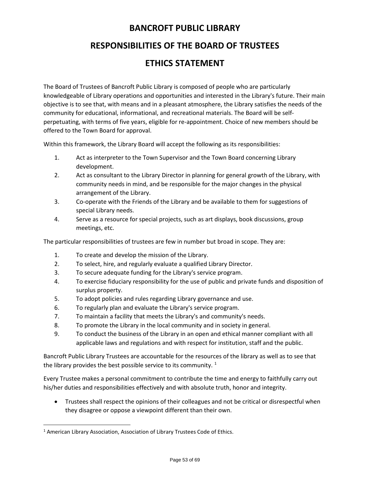# **RESPONSIBILITIES OF THE BOARD OF TRUSTEES**

# **ETHICS STATEMENT**

<span id="page-53-0"></span>The Board of Trustees of Bancroft Public Library is composed of people who are particularly knowledgeable of Library operations and opportunities and interested in the Library's future. Their main objective is to see that, with means and in a pleasant atmosphere, the Library satisfies the needs of the community for educational, informational, and recreational materials. The Board will be selfperpetuating, with terms of five years, eligible for re-appointment. Choice of new members should be offered to the Town Board for approval.

Within this framework, the Library Board will accept the following as its responsibilities:

- 1. Act as interpreter to the Town Supervisor and the Town Board concerning Library development.
- 2. Act as consultant to the Library Director in planning for general growth of the Library, with community needs in mind, and be responsible for the major changes in the physical arrangement of the Library.
- 3. Co-operate with the Friends of the Library and be available to them for suggestions of special Library needs.
- 4. Serve as a resource for special projects, such as art displays, book discussions, group meetings, etc.

The particular responsibilities of trustees are few in number but broad in scope. They are:

- 1. To create and develop the mission of the Library.
- 2. To select, hire, and regularly evaluate a qualified Library Director.
- 3. To secure adequate funding for the Library's service program.
- 4. To exercise fiduciary responsibility for the use of public and private funds and disposition of surplus property.
- 5. To adopt policies and rules regarding Library governance and use.
- 6. To regularly plan and evaluate the Library's service program.
- 7. To maintain a facility that meets the Library's and community's needs.
- 8. To promote the Library in the local community and in society in general.
- 9. To conduct the business of the Library in an open and ethical manner compliant with all applicable laws and regulations and with respect for institution, staff and the public.

Bancroft Public Library Trustees are accountable for the resources of the library as well as to see that the library provides the best possible service to its community.  $1$ 

Every Trustee makes a personal commitment to contribute the time and energy to faithfully carry out his/her duties and responsibilities effectively and with absolute truth, honor and integrity.

• Trustees shall respect the opinions of their colleagues and not be critical or disrespectful when they disagree or oppose a viewpoint different than their own.

l

<span id="page-53-1"></span><sup>&</sup>lt;sup>1</sup> American Library Association, Association of Library Trustees Code of Ethics.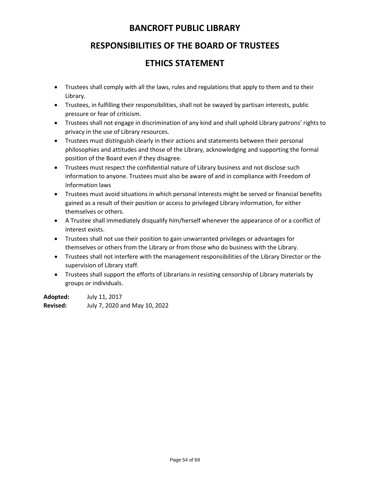# **RESPONSIBILITIES OF THE BOARD OF TRUSTEES**

# **ETHICS STATEMENT**

- Trustees shall comply with all the laws, rules and regulations that apply to them and to their Library.
- Trustees, in fulfilling their responsibilities, shall not be swayed by partisan interests, public pressure or fear of criticism.
- Trustees shall not engage in discrimination of any kind and shall uphold Library patrons' rights to privacy in the use of Library resources.
- Trustees must distinguish clearly in their actions and statements between their personal philosophies and attitudes and those of the Library, acknowledging and supporting the formal position of the Board even if they disagree.
- Trustees must respect the confidential nature of Library business and not disclose such information to anyone. Trustees must also be aware of and in compliance with Freedom of Information laws
- Trustees must avoid situations in which personal interests might be served or financial benefits gained as a result of their position or access to privileged Library information, for either themselves or others.
- A Trustee shall immediately disqualify him/herself whenever the appearance of or a conflict of interest exists.
- Trustees shall not use their position to gain unwarranted privileges or advantages for themselves or others from the Library or from those who do business with the Library.
- Trustees shall not interfere with the management responsibilities of the Library Director or the supervision of Library staff.
- Trustees shall support the efforts of Librarians in resisting censorship of Library materials by groups or individuals.

**Adopted:** July 11, 2017 **Revised:** July 7, 2020 and May 10, 2022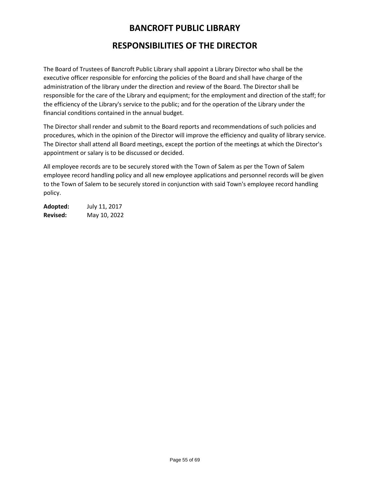# **RESPONSIBILITIES OF THE DIRECTOR**

<span id="page-55-0"></span>The Board of Trustees of Bancroft Public Library shall appoint a Library Director who shall be the executive officer responsible for enforcing the policies of the Board and shall have charge of the administration of the library under the direction and review of the Board. The Director shall be responsible for the care of the Library and equipment; for the employment and direction of the staff; for the efficiency of the Library's service to the public; and for the operation of the Library under the financial conditions contained in the annual budget.

The Director shall render and submit to the Board reports and recommendations of such policies and procedures, which in the opinion of the Director will improve the efficiency and quality of library service. The Director shall attend all Board meetings, except the portion of the meetings at which the Director's appointment or salary is to be discussed or decided.

All employee records are to be securely stored with the Town of Salem as per the Town of Salem employee record handling policy and all new employee applications and personnel records will be given to the Town of Salem to be securely stored in conjunction with said Town's employee record handling policy.

**Adopted:** July 11, 2017 **Revised:** May 10, 2022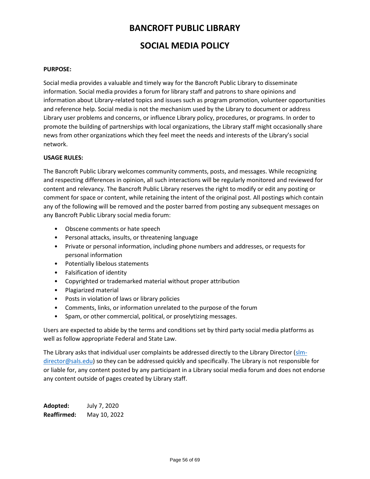# **SOCIAL MEDIA POLICY**

#### <span id="page-56-0"></span>**PURPOSE:**

Social media provides a valuable and timely way for the Bancroft Public Library to disseminate information. Social media provides a forum for library staff and patrons to share opinions and information about Library-related topics and issues such as program promotion, volunteer opportunities and reference help. Social media is not the mechanism used by the Library to document or address Library user problems and concerns, or influence Library policy, procedures, or programs. In order to promote the building of partnerships with local organizations, the Library staff might occasionally share news from other organizations which they feel meet the needs and interests of the Library's social network.

#### **USAGE RULES:**

The Bancroft Public Library welcomes community comments, posts, and messages. While recognizing and respecting differences in opinion, all such interactions will be regularly monitored and reviewed for content and relevancy. The Bancroft Public Library reserves the right to modify or edit any posting or comment for space or content, while retaining the intent of the original post. All postings which contain any of the following will be removed and the poster barred from posting any subsequent messages on any Bancroft Public Library social media forum:

- Obscene comments or hate speech
- Personal attacks, insults, or threatening language
- Private or personal information, including phone numbers and addresses, or requests for personal information
- Potentially libelous statements
- Falsification of identity
- Copyrighted or trademarked material without proper attribution
- Plagiarized material
- Posts in violation of laws or library policies
- Comments, links, or information unrelated to the purpose of the forum
- Spam, or other commercial, political, or proselytizing messages.

Users are expected to abide by the terms and conditions set by third party social media platforms as well as follow appropriate Federal and State Law.

The Library asks that individual user complaints be addressed directly to the Library Director [\(slm](mailto:slm-director@sals.edu)[director@sals.edu\)](mailto:slm-director@sals.edu) so they can be addressed quickly and specifically. The Library is not responsible for or liable for, any content posted by any participant in a Library social media forum and does not endorse any content outside of pages created by Library staff.

**Adopted:** July 7, 2020 **Reaffirmed:** May 10, 2022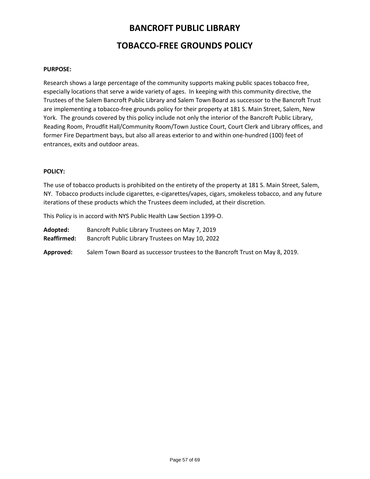# **TOBACCO-FREE GROUNDS POLICY**

#### <span id="page-57-0"></span>**PURPOSE:**

Research shows a large percentage of the community supports making public spaces tobacco free, especially locations that serve a wide variety of ages. In keeping with this community directive, the Trustees of the Salem Bancroft Public Library and Salem Town Board as successor to the Bancroft Trust are implementing a tobacco-free grounds policy for their property at 181 S. Main Street, Salem, New York. The grounds covered by this policy include not only the interior of the Bancroft Public Library, Reading Room, Proudfit Hall/Community Room/Town Justice Court, Court Clerk and Library offices, and former Fire Department bays, but also all areas exterior to and within one-hundred (100) feet of entrances, exits and outdoor areas.

#### **POLICY:**

The use of tobacco products is prohibited on the entirety of the property at 181 S. Main Street, Salem, NY. Tobacco products include cigarettes, e-cigarettes/vapes, cigars, smokeless tobacco, and any future iterations of these products which the Trustees deem included, at their discretion.

This Policy is in accord with NYS Public Health Law Section 1399-O.

| Adopted:           | Bancroft Public Library Trustees on May 7, 2019                              |
|--------------------|------------------------------------------------------------------------------|
| <b>Reaffirmed:</b> | Bancroft Public Library Trustees on May 10, 2022                             |
| Approved:          | Salem Town Board as successor trustees to the Bancroft Trust on May 8, 2019. |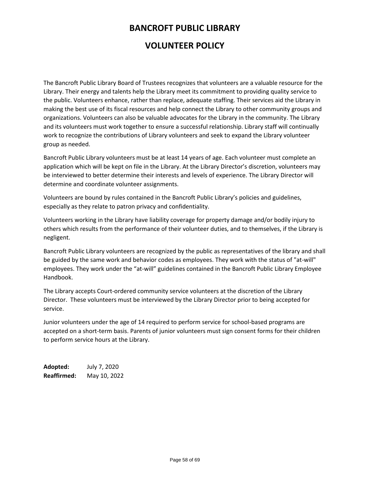# **VOLUNTEER POLICY**

<span id="page-58-0"></span>The Bancroft Public Library Board of Trustees recognizes that volunteers are a valuable resource for the Library. Their energy and talents help the Library meet its commitment to providing quality service to the public. Volunteers enhance, rather than replace, adequate staffing. Their services aid the Library in making the best use of its fiscal resources and help connect the Library to other community groups and organizations. Volunteers can also be valuable advocates for the Library in the community. The Library and its volunteers must work together to ensure a successful relationship. Library staff will continually work to recognize the contributions of Library volunteers and seek to expand the Library volunteer group as needed.

Bancroft Public Library volunteers must be at least 14 years of age. Each volunteer must complete an application which will be kept on file in the Library. At the Library Director's discretion, volunteers may be interviewed to better determine their interests and levels of experience. The Library Director will determine and coordinate volunteer assignments.

Volunteers are bound by rules contained in the Bancroft Public Library's policies and guidelines, especially as they relate to patron privacy and confidentiality.

Volunteers working in the Library have liability coverage for property damage and/or bodily injury to others which results from the performance of their volunteer duties, and to themselves, if the Library is negligent.

Bancroft Public Library volunteers are recognized by the public as representatives of the library and shall be guided by the same work and behavior codes as employees. They work with the status of "at-will" employees. They work under the "at-will" guidelines contained in the Bancroft Public Library Employee Handbook.

The Library accepts Court-ordered community service volunteers at the discretion of the Library Director. These volunteers must be interviewed by the Library Director prior to being accepted for service.

Junior volunteers under the age of 14 required to perform service for school-based programs are accepted on a short-term basis. Parents of junior volunteers must sign consent forms for their children to perform service hours at the Library.

**Adopted:** July 7, 2020 **Reaffirmed:** May 10, 2022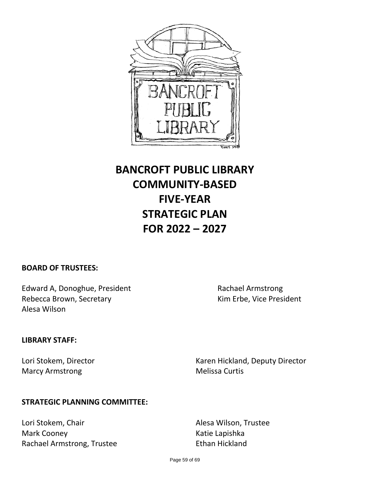<span id="page-59-0"></span>

# **BANCROFT PUBLIC LIBRARY COMMUNITY-BASED FIVE-YEAR STRATEGIC PLAN FOR 2022 – 2027**

# **BOARD OF TRUSTEES:**

Edward A, Donoghue, President Rachael Armstrong Rebecca Brown, Secretary **Kim Erbe, Vice President** Alesa Wilson

#### **LIBRARY STAFF:**

Marcy Armstrong Melissa Curtis

Lori Stokem, Director **Karen Hickland, Deputy Director** 

#### **STRATEGIC PLANNING COMMITTEE:**

Lori Stokem, Chair **Alesa Wilson, Trustee** Mark Cooney **Mark Cooney Katie Lapishka** Rachael Armstrong, Trustee Ethan Hickland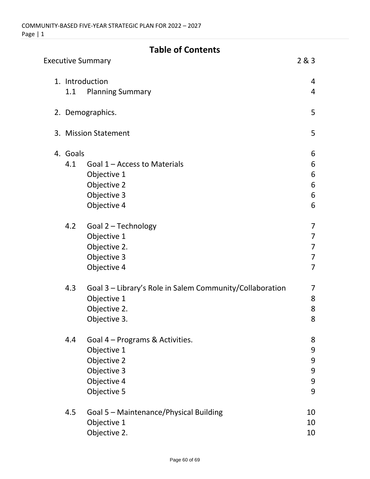| <b>Table of Contents</b> |                      |                                                                                                            |                                                              |  |
|--------------------------|----------------------|------------------------------------------------------------------------------------------------------------|--------------------------------------------------------------|--|
| <b>Executive Summary</b> |                      |                                                                                                            | 2 & 3                                                        |  |
|                          | 1.1                  | 1. Introduction<br><b>Planning Summary</b>                                                                 | 4<br>4                                                       |  |
|                          | 2. Demographics.     |                                                                                                            |                                                              |  |
|                          | 3. Mission Statement |                                                                                                            |                                                              |  |
|                          | 4. Goals<br>4.1      | Goal 1 – Access to Materials<br>Objective 1<br>Objective 2<br>Objective 3<br>Objective 4                   | 6<br>6<br>6<br>6<br>6<br>6                                   |  |
|                          | 4.2                  | Goal 2 - Technology<br>Objective 1<br>Objective 2.<br>Objective 3<br>Objective 4                           | 7<br>$\overline{7}$<br>7<br>$\overline{7}$<br>$\overline{7}$ |  |
|                          | 4.3                  | Goal 3 – Library's Role in Salem Community/Collaboration<br>Objective 1<br>Objective 2.<br>Objective 3.    | 7<br>8<br>8<br>8                                             |  |
|                          | 4.4                  | Goal 4 - Programs & Activities.<br>Objective 1<br>Objective 2<br>Objective 3<br>Objective 4<br>Objective 5 | 8<br>9<br>9<br>9<br>9<br>9                                   |  |
|                          | 4.5                  | Goal 5 - Maintenance/Physical Building<br>Objective 1<br>Objective 2.                                      | 10<br>10<br>10                                               |  |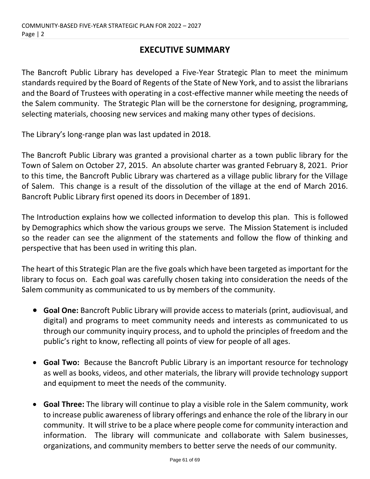# **EXECUTIVE SUMMARY**

<span id="page-61-0"></span>The Bancroft Public Library has developed a Five-Year Strategic Plan to meet the minimum standards required by the Board of Regents of the State of New York, and to assist the librarians and the Board of Trustees with operating in a cost-effective manner while meeting the needs of the Salem community. The Strategic Plan will be the cornerstone for designing, programming, selecting materials, choosing new services and making many other types of decisions.

The Library's long-range plan was last updated in 2018.

The Bancroft Public Library was granted a provisional charter as a town public library for the Town of Salem on October 27, 2015. An absolute charter was granted February 8, 2021. Prior to this time, the Bancroft Public Library was chartered as a village public library for the Village of Salem. This change is a result of the dissolution of the village at the end of March 2016. Bancroft Public Library first opened its doors in December of 1891.

The Introduction explains how we collected information to develop this plan. This is followed by Demographics which show the various groups we serve. The Mission Statement is included so the reader can see the alignment of the statements and follow the flow of thinking and perspective that has been used in writing this plan.

The heart of this Strategic Plan are the five goals which have been targeted as important for the library to focus on. Each goal was carefully chosen taking into consideration the needs of the Salem community as communicated to us by members of the community.

- **Goal One:** Bancroft Public Library will provide access to materials (print, audiovisual, and digital) and programs to meet community needs and interests as communicated to us through our community inquiry process, and to uphold the principles of freedom and the public's right to know, reflecting all points of view for people of all ages.
- **Goal Two:** Because the Bancroft Public Library is an important resource for technology as well as books, videos, and other materials, the library will provide technology support and equipment to meet the needs of the community.
- **Goal Three:** The library will continue to play a visible role in the Salem community, work to increase public awareness of library offerings and enhance the role of the library in our community. It will strive to be a place where people come for community interaction and information. The library will communicate and collaborate with Salem businesses, organizations, and community members to better serve the needs of our community.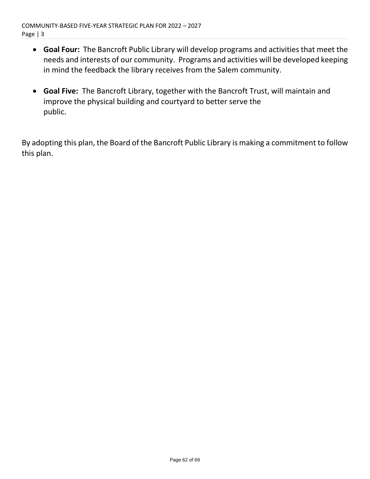- **Goal Four:** The Bancroft Public Library will develop programs and activities that meet the needs and interests of our community. Programs and activities will be developed keeping in mind the feedback the library receives from the Salem community.
- **Goal Five:** The Bancroft Library, together with the Bancroft Trust, will maintain and improve the physical building and courtyard to better serve the public.

By adopting this plan, the Board of the Bancroft Public Library is making a commitment to follow this plan.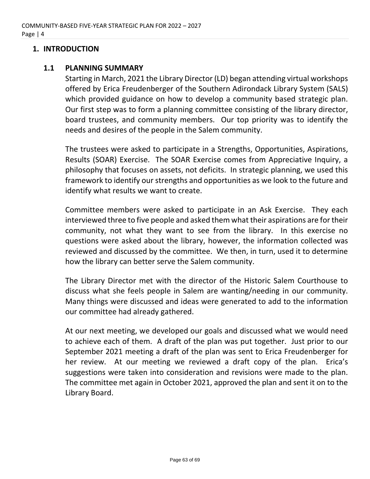## <span id="page-63-0"></span>**1. INTRODUCTION**

#### **1.1 PLANNING SUMMARY**

Starting in March, 2021 the Library Director (LD) began attending virtual workshops offered by Erica Freudenberger of the Southern Adirondack Library System (SALS) which provided guidance on how to develop a community based strategic plan. Our first step was to form a planning committee consisting of the library director, board trustees, and community members. Our top priority was to identify the needs and desires of the people in the Salem community.

The trustees were asked to participate in a Strengths, Opportunities, Aspirations, Results (SOAR) Exercise. The SOAR Exercise comes from Appreciative Inquiry, a philosophy that focuses on assets, not deficits. In strategic planning, we used this framework to identify our strengths and opportunities as we look to the future and identify what results we want to create.

Committee members were asked to participate in an Ask Exercise. They each interviewed three to five people and asked them what their aspirations are for their community, not what they want to see from the library. In this exercise no questions were asked about the library, however, the information collected was reviewed and discussed by the committee. We then, in turn, used it to determine how the library can better serve the Salem community.

The Library Director met with the director of the Historic Salem Courthouse to discuss what she feels people in Salem are wanting/needing in our community. Many things were discussed and ideas were generated to add to the information our committee had already gathered.

At our next meeting, we developed our goals and discussed what we would need to achieve each of them. A draft of the plan was put together. Just prior to our September 2021 meeting a draft of the plan was sent to Erica Freudenberger for her review. At our meeting we reviewed a draft copy of the plan. Erica's suggestions were taken into consideration and revisions were made to the plan. The committee met again in October 2021, approved the plan and sent it on to the Library Board.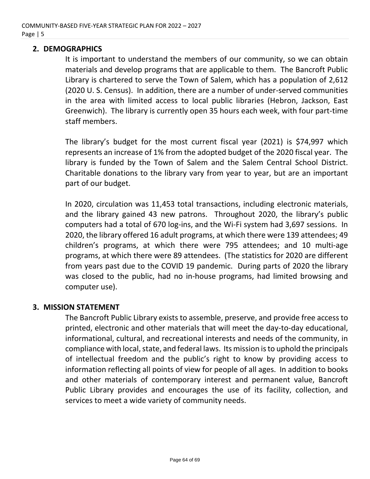### <span id="page-64-0"></span>**2. DEMOGRAPHICS**

It is important to understand the members of our community, so we can obtain materials and develop programs that are applicable to them. The Bancroft Public Library is chartered to serve the Town of Salem, which has a population of 2,612 (2020 U. S. Census). In addition, there are a number of under-served communities in the area with limited access to local public libraries (Hebron, Jackson, East Greenwich). The library is currently open 35 hours each week, with four part-time staff members.

The library's budget for the most current fiscal year (2021) is \$74,997 which represents an increase of 1% from the adopted budget of the 2020 fiscal year. The library is funded by the Town of Salem and the Salem Central School District. Charitable donations to the library vary from year to year, but are an important part of our budget.

In 2020, circulation was 11,453 total transactions, including electronic materials, and the library gained 43 new patrons. Throughout 2020, the library's public computers had a total of 670 log-ins, and the Wi-Fi system had 3,697 sessions. In 2020, the library offered 16 adult programs, at which there were 139 attendees; 49 children's programs, at which there were 795 attendees; and 10 multi-age programs, at which there were 89 attendees. (The statistics for 2020 are different from years past due to the COVID 19 pandemic. During parts of 2020 the library was closed to the public, had no in-house programs, had limited browsing and computer use).

#### **3. MISSION STATEMENT**

The Bancroft Public Library exists to assemble, preserve, and provide free access to printed, electronic and other materials that will meet the day-to-day educational, informational, cultural, and recreational interests and needs of the community, in compliance with local, state, and federal laws. Its mission is to uphold the principals of intellectual freedom and the public's right to know by providing access to information reflecting all points of view for people of all ages. In addition to books and other materials of contemporary interest and permanent value, Bancroft Public Library provides and encourages the use of its facility, collection, and services to meet a wide variety of community needs.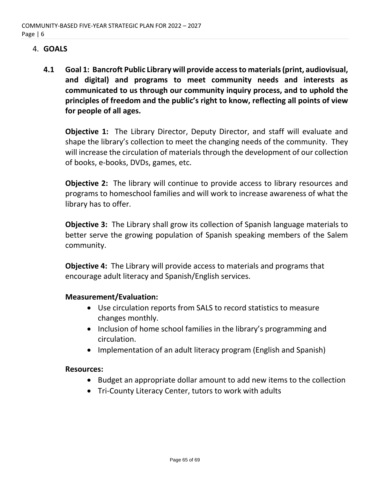# <span id="page-65-0"></span>4. **GOALS**

**4.1 Goal 1: Bancroft Public Library will provide access to materials (print, audiovisual, and digital) and programs to meet community needs and interests as communicated to us through our community inquiry process, and to uphold the principles of freedom and the public's right to know, reflecting all points of view for people of all ages.**

**Objective 1:** The Library Director, Deputy Director, and staff will evaluate and shape the library's collection to meet the changing needs of the community. They will increase the circulation of materials through the development of our collection of books, e-books, DVDs, games, etc.

**Objective 2:** The library will continue to provide access to library resources and programs to homeschool families and will work to increase awareness of what the library has to offer.

**Objective 3:** The Library shall grow its collection of Spanish language materials to better serve the growing population of Spanish speaking members of the Salem community.

**Objective 4:** The Library will provide access to materials and programs that encourage adult literacy and Spanish/English services.

#### **Measurement/Evaluation:**

- Use circulation reports from SALS to record statistics to measure changes monthly.
- Inclusion of home school families in the library's programming and circulation.
- Implementation of an adult literacy program (English and Spanish)

- Budget an appropriate dollar amount to add new items to the collection
- Tri-County Literacy Center, tutors to work with adults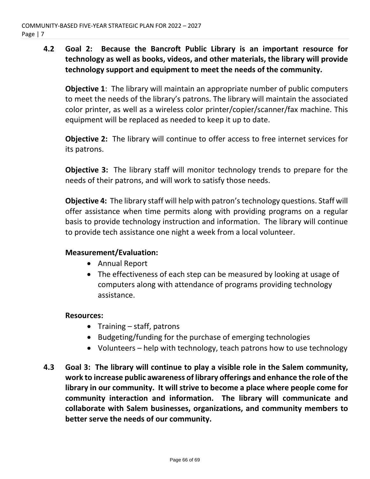# <span id="page-66-0"></span>**4.2 Goal 2: Because the Bancroft Public Library is an important resource for technology as well as books, videos, and other materials, the library will provide technology support and equipment to meet the needs of the community.**

**Objective 1**:The library will maintain an appropriate number of public computers to meet the needs of the library's patrons. The library will maintain the associated color printer, as well as a wireless color printer/copier/scanner/fax machine. This equipment will be replaced as needed to keep it up to date.

**Objective 2:** The library will continue to offer access to free internet services for its patrons.

**Objective 3:** The library staff will monitor technology trends to prepare for the needs of their patrons, and will work to satisfy those needs.

**Objective 4:** The library staff will help with patron's technology questions. Staff will offer assistance when time permits along with providing programs on a regular basis to provide technology instruction and information. The library will continue to provide tech assistance one night a week from a local volunteer.

# **Measurement/Evaluation:**

- Annual Report
- The effectiveness of each step can be measured by looking at usage of computers along with attendance of programs providing technology assistance.

- Training staff, patrons
- Budgeting/funding for the purchase of emerging technologies
- Volunteers help with technology, teach patrons how to use technology
- **4.3 Goal 3: The library will continue to play a visible role in the Salem community, work to increase public awareness of library offerings and enhance the role of the library in our community. It will strive to become a place where people come for community interaction and information. The library will communicate and collaborate with Salem businesses, organizations, and community members to better serve the needs of our community.**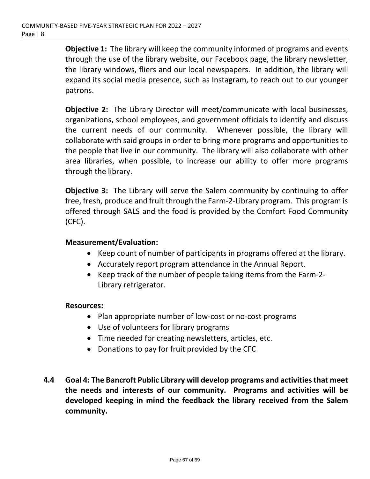<span id="page-67-0"></span>**Objective 1:** The library will keep the community informed of programs and events through the use of the library website, our Facebook page, the library newsletter, the library windows, fliers and our local newspapers. In addition, the library will expand its social media presence, such as Instagram, to reach out to our younger patrons.

**Objective 2:** The Library Director will meet/communicate with local businesses, organizations, school employees, and government officials to identify and discuss the current needs of our community. Whenever possible, the library will collaborate with said groups in order to bring more programs and opportunities to the people that live in our community. The library will also collaborate with other area libraries, when possible, to increase our ability to offer more programs through the library.

**Objective 3:** The Library will serve the Salem community by continuing to offer free, fresh, produce and fruit through the Farm-2-Library program. This program is offered through SALS and the food is provided by the Comfort Food Community (CFC).

## **Measurement/Evaluation:**

- Keep count of number of participants in programs offered at the library.
- Accurately report program attendance in the Annual Report.
- Keep track of the number of people taking items from the Farm-2- Library refrigerator.

- Plan appropriate number of low-cost or no-cost programs
- Use of volunteers for library programs
- Time needed for creating newsletters, articles, etc.
- Donations to pay for fruit provided by the CFC
- **4.4 Goal 4: The Bancroft Public Library will develop programs and activities that meet the needs and interests of our community. Programs and activities will be developed keeping in mind the feedback the library received from the Salem community.**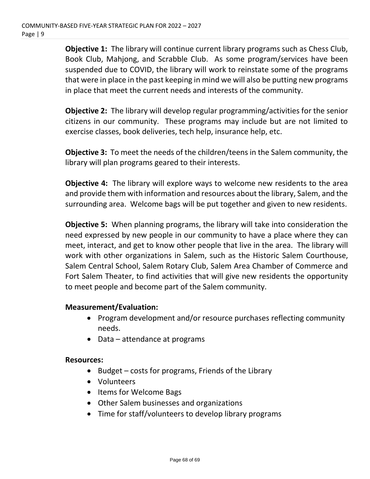<span id="page-68-0"></span>**Objective 1:** The library will continue current library programs such as Chess Club, Book Club, Mahjong, and Scrabble Club. As some program/services have been suspended due to COVID, the library will work to reinstate some of the programs that were in place in the past keeping in mind we will also be putting new programs in place that meet the current needs and interests of the community.

**Objective 2:** The library will develop regular programming/activities for the senior citizens in our community. These programs may include but are not limited to exercise classes, book deliveries, tech help, insurance help, etc.

**Objective 3:** To meet the needs of the children/teens in the Salem community, the library will plan programs geared to their interests.

**Objective 4:** The library will explore ways to welcome new residents to the area and provide them with information and resources about the library, Salem, and the surrounding area. Welcome bags will be put together and given to new residents.

**Objective 5:** When planning programs, the library will take into consideration the need expressed by new people in our community to have a place where they can meet, interact, and get to know other people that live in the area. The library will work with other organizations in Salem, such as the Historic Salem Courthouse, Salem Central School, Salem Rotary Club, Salem Area Chamber of Commerce and Fort Salem Theater, to find activities that will give new residents the opportunity to meet people and become part of the Salem community.

#### **Measurement/Evaluation:**

- Program development and/or resource purchases reflecting community needs.
- Data attendance at programs

- Budget costs for programs, Friends of the Library
- Volunteers
- Items for Welcome Bags
- Other Salem businesses and organizations
- Time for staff/volunteers to develop library programs